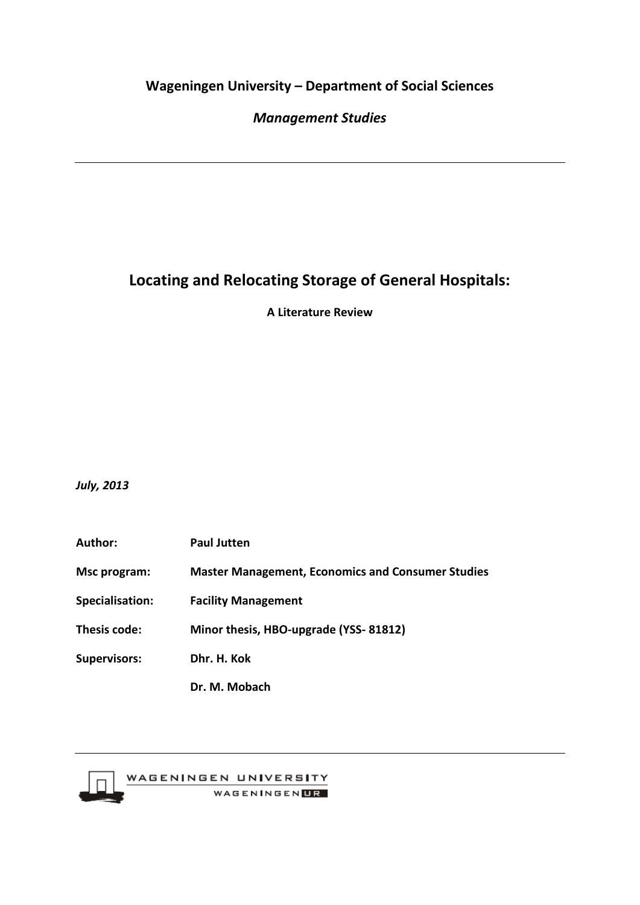# **Wageningen University – Department of Social Sciences**

# *Management Studies*

# **Locating and Relocating Storage of General Hospitals:**

**A Literature Review**

*July, 2013*

**Author: Paul Jutten Msc program: Master Management, Economics and Consumer Studies Specialisation: Facility Management Thesis code: Minor thesis, HBO-upgrade (YSS- 81812) Supervisors: Dhr. H. Kok Dr. M. Mobach**



WAGENINGEN UNIVERSITY WAGENINGEN**UR**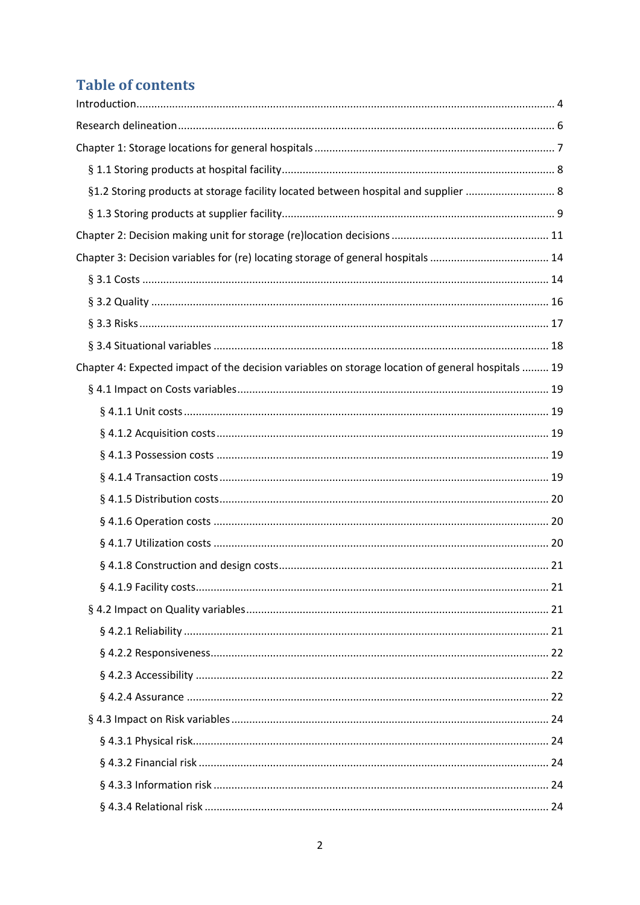# **Table of contents**

| §1.2 Storing products at storage facility located between hospital and supplier  8                |  |
|---------------------------------------------------------------------------------------------------|--|
|                                                                                                   |  |
|                                                                                                   |  |
| Chapter 3: Decision variables for (re) locating storage of general hospitals  14                  |  |
|                                                                                                   |  |
|                                                                                                   |  |
|                                                                                                   |  |
|                                                                                                   |  |
| Chapter 4: Expected impact of the decision variables on storage location of general hospitals  19 |  |
|                                                                                                   |  |
|                                                                                                   |  |
|                                                                                                   |  |
|                                                                                                   |  |
|                                                                                                   |  |
|                                                                                                   |  |
|                                                                                                   |  |
|                                                                                                   |  |
|                                                                                                   |  |
|                                                                                                   |  |
|                                                                                                   |  |
|                                                                                                   |  |
|                                                                                                   |  |
|                                                                                                   |  |
|                                                                                                   |  |
|                                                                                                   |  |
|                                                                                                   |  |
|                                                                                                   |  |
|                                                                                                   |  |
|                                                                                                   |  |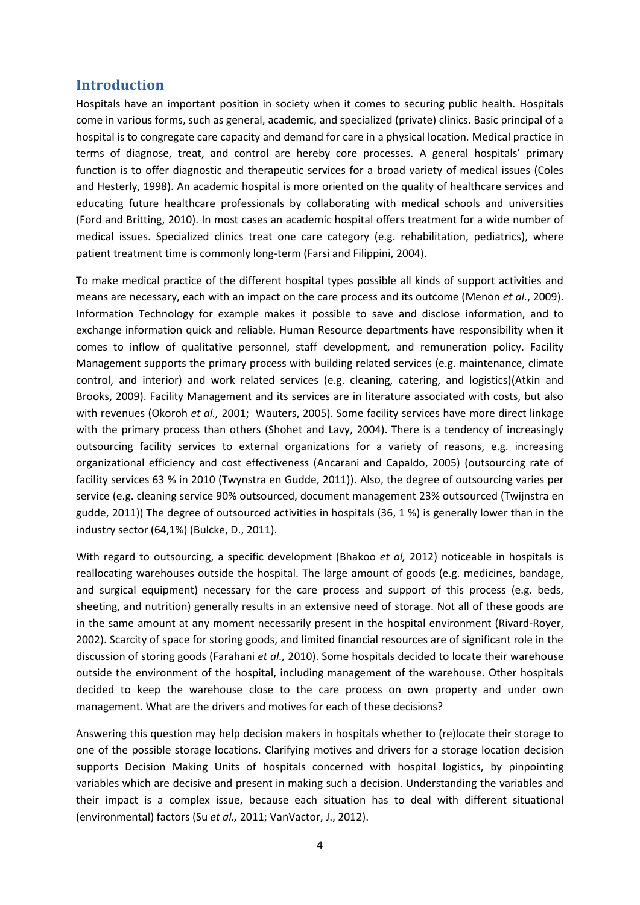### <span id="page-3-0"></span>**Introduction**

Hospitals have an important position in society when it comes to securing public health. Hospitals come in various forms, such as general, academic, and specialized (private) clinics. Basic principal of a hospital is to congregate care capacity and demand for care in a physical location. Medical practice in terms of diagnose, treat, and control are hereby core processes. A general hospitals' primary function is to offer diagnostic and therapeutic services for a broad variety of medical issues (Coles and Hesterly, 1998). An academic hospital is more oriented on the quality of healthcare services and educating future healthcare professionals by collaborating with medical schools and universities (Ford and Britting, 2010). In most cases an academic hospital offers treatment for a wide number of medical issues. Specialized clinics treat one care category (e.g. rehabilitation, pediatrics), where patient treatment time is commonly long-term (Farsi and Filippini, 2004).

To make medical practice of the different hospital types possible all kinds of support activities and means are necessary, each with an impact on the care process and its outcome (Menon *et al.*, 2009). Information Technology for example makes it possible to save and disclose information, and to exchange information quick and reliable. Human Resource departments have responsibility when it comes to inflow of qualitative personnel, staff development, and remuneration policy. Facility Management supports the primary process with building related services (e.g. maintenance, climate control, and interior) and work related services (e.g. cleaning, catering, and logistics)(Atkin and Brooks, 2009). Facility Management and its services are in literature associated with costs, but also with revenues (Okoroh *et al.,* 2001; Wauters, 2005). Some facility services have more direct linkage with the primary process than others (Shohet and Lavy, 2004). There is a tendency of increasingly outsourcing facility services to external organizations for a variety of reasons, e.g. increasing organizational efficiency and cost effectiveness (Ancarani and Capaldo, 2005) (outsourcing rate of facility services 63 % in 2010 (Twynstra en Gudde, 2011)). Also, the degree of outsourcing varies per service (e.g. cleaning service 90% outsourced, document management 23% outsourced (Twijnstra en gudde, 2011)) The degree of outsourced activities in hospitals (36, 1 %) is generally lower than in the industry sector (64,1%) (Bulcke, D., 2011).

With regard to outsourcing, a specific development (Bhakoo *et al,* 2012) noticeable in hospitals is reallocating warehouses outside the hospital. The large amount of goods (e.g. medicines, bandage, and surgical equipment) necessary for the care process and support of this process (e.g. beds, sheeting, and nutrition) generally results in an extensive need of storage. Not all of these goods are in the same amount at any moment necessarily present in the hospital environment (Rivard-Royer, 2002). Scarcity of space for storing goods, and limited financial resources are of significant role in the discussion of storing goods (Farahani *et al.,* 2010). Some hospitals decided to locate their warehouse outside the environment of the hospital, including management of the warehouse. Other hospitals decided to keep the warehouse close to the care process on own property and under own management. What are the drivers and motives for each of these decisions?

Answering this question may help decision makers in hospitals whether to (re)locate their storage to one of the possible storage locations. Clarifying motives and drivers for a storage location decision supports Decision Making Units of hospitals concerned with hospital logistics, by pinpointing variables which are decisive and present in making such a decision. Understanding the variables and their impact is a complex issue, because each situation has to deal with different situational (environmental) factors (Su *et al.,* 2011; VanVactor, J., 2012).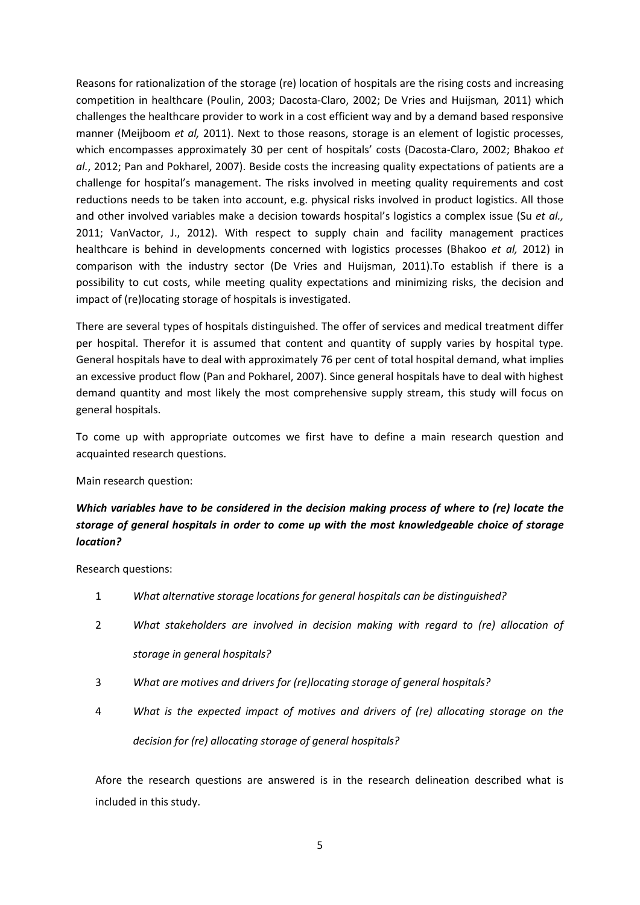Reasons for rationalization of the storage (re) location of hospitals are the rising costs and increasing competition in healthcare (Poulin, 2003; Dacosta-Claro, 2002; De Vries and Huijsman*,* 2011) which challenges the healthcare provider to work in a cost efficient way and by a demand based responsive manner (Meijboom *et al,* 2011). Next to those reasons, storage is an element of logistic processes, which encompasses approximately 30 per cent of hospitals' costs (Dacosta-Claro, 2002; Bhakoo *et al.*, 2012; Pan and Pokharel, 2007). Beside costs the increasing quality expectations of patients are a challenge for hospital's management. The risks involved in meeting quality requirements and cost reductions needs to be taken into account, e.g. physical risks involved in product logistics. All those and other involved variables make a decision towards hospital's logistics a complex issue (Su *et al.,*  2011; VanVactor, J., 2012). With respect to supply chain and facility management practices healthcare is behind in developments concerned with logistics processes (Bhakoo *et al,* 2012) in comparison with the industry sector (De Vries and Huijsman, 2011).To establish if there is a possibility to cut costs, while meeting quality expectations and minimizing risks, the decision and impact of (re)locating storage of hospitals is investigated.

There are several types of hospitals distinguished. The offer of services and medical treatment differ per hospital. Therefor it is assumed that content and quantity of supply varies by hospital type. General hospitals have to deal with approximately 76 per cent of total hospital demand, what implies an excessive product flow (Pan and Pokharel, 2007). Since general hospitals have to deal with highest demand quantity and most likely the most comprehensive supply stream, this study will focus on general hospitals.

To come up with appropriate outcomes we first have to define a main research question and acquainted research questions.

Main research question:

## *Which variables have to be considered in the decision making process of where to (re) locate the storage of general hospitals in order to come up with the most knowledgeable choice of storage location?*

Research questions:

- 1 *What alternative storage locations for general hospitals can be distinguished?*
- 2 *What stakeholders are involved in decision making with regard to (re) allocation of storage in general hospitals?*
- 3 *What are motives and drivers for (re)locating storage of general hospitals?*
- 4 *What is the expected impact of motives and drivers of (re) allocating storage on the decision for (re) allocating storage of general hospitals?*

Afore the research questions are answered is in the research delineation described what is included in this study.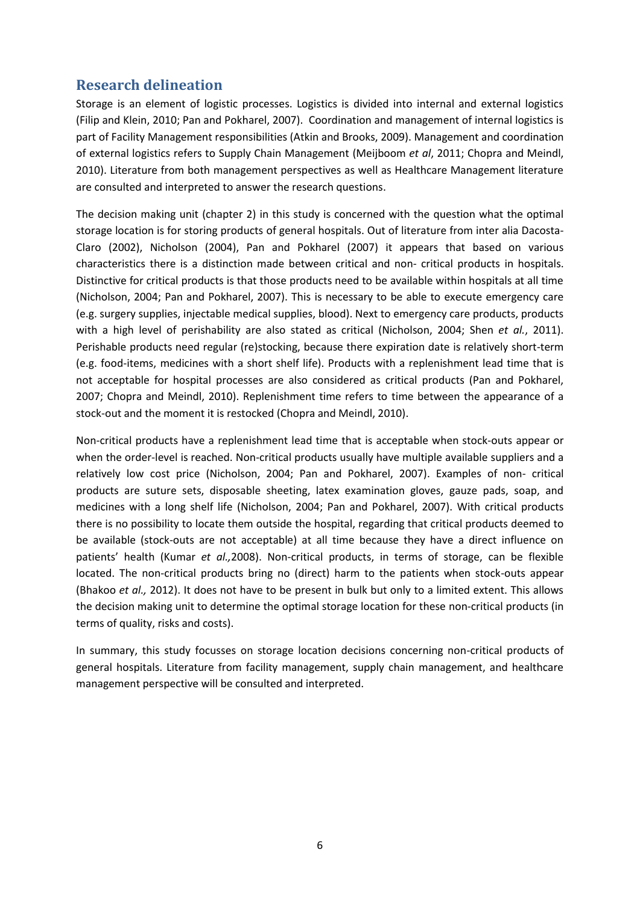# <span id="page-5-0"></span>**Research delineation**

Storage is an element of logistic processes. Logistics is divided into internal and external logistics (Filip and Klein, 2010; Pan and Pokharel, 2007). Coordination and management of internal logistics is part of Facility Management responsibilities (Atkin and Brooks, 2009). Management and coordination of external logistics refers to Supply Chain Management (Meijboom *et al*, 2011; Chopra and Meindl, 2010). Literature from both management perspectives as well as Healthcare Management literature are consulted and interpreted to answer the research questions.

The decision making unit (chapter 2) in this study is concerned with the question what the optimal storage location is for storing products of general hospitals. Out of literature from inter alia Dacosta-Claro (2002), Nicholson (2004), Pan and Pokharel (2007) it appears that based on various characteristics there is a distinction made between critical and non- critical products in hospitals. Distinctive for critical products is that those products need to be available within hospitals at all time (Nicholson, 2004; Pan and Pokharel, 2007). This is necessary to be able to execute emergency care (e.g. surgery supplies, injectable medical supplies, blood). Next to emergency care products, products with a high level of perishability are also stated as critical (Nicholson, 2004; Shen *et al.*, 2011). Perishable products need regular (re)stocking, because there expiration date is relatively short-term (e.g. food-items, medicines with a short shelf life). Products with a replenishment lead time that is not acceptable for hospital processes are also considered as critical products (Pan and Pokharel, 2007; Chopra and Meindl, 2010). Replenishment time refers to time between the appearance of a stock-out and the moment it is restocked (Chopra and Meindl, 2010).

Non-critical products have a replenishment lead time that is acceptable when stock-outs appear or when the order-level is reached. Non-critical products usually have multiple available suppliers and a relatively low cost price (Nicholson, 2004; Pan and Pokharel, 2007). Examples of non- critical products are suture sets, disposable sheeting, latex examination gloves, gauze pads, soap, and medicines with a long shelf life (Nicholson, 2004; Pan and Pokharel, 2007). With critical products there is no possibility to locate them outside the hospital, regarding that critical products deemed to be available (stock-outs are not acceptable) at all time because they have a direct influence on patients' health (Kumar *et al.,*2008). Non-critical products, in terms of storage, can be flexible located. The non-critical products bring no (direct) harm to the patients when stock-outs appear (Bhakoo *et al.,* 2012). It does not have to be present in bulk but only to a limited extent. This allows the decision making unit to determine the optimal storage location for these non-critical products (in terms of quality, risks and costs).

In summary, this study focusses on storage location decisions concerning non-critical products of general hospitals. Literature from facility management, supply chain management, and healthcare management perspective will be consulted and interpreted.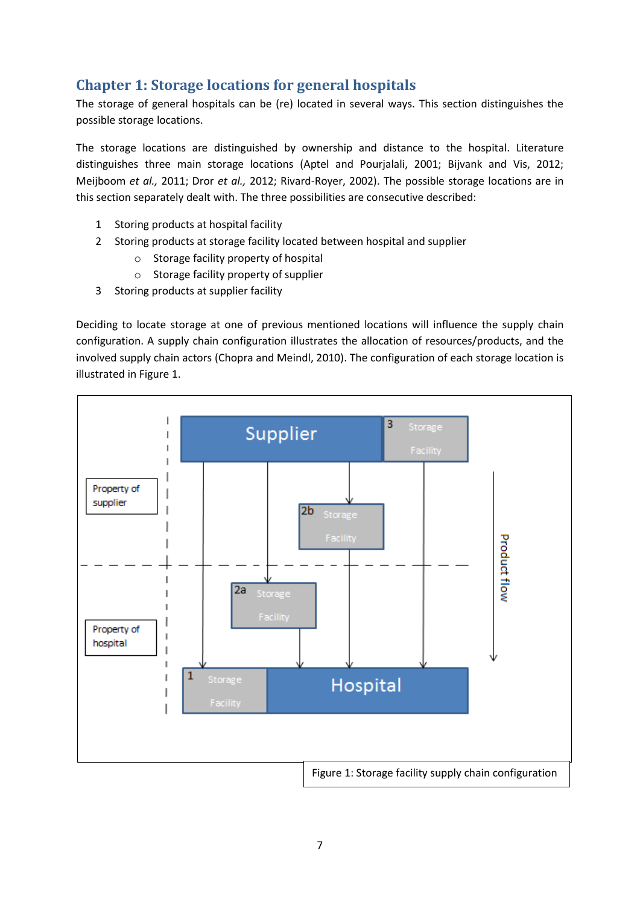# <span id="page-6-0"></span>**Chapter 1: Storage locations for general hospitals**

The storage of general hospitals can be (re) located in several ways. This section distinguishes the possible storage locations.

The storage locations are distinguished by ownership and distance to the hospital. Literature distinguishes three main storage locations (Aptel and Pourjalali, 2001; Bijvank and Vis, 2012; Meijboom *et al.,* 2011; Dror *et al.,* 2012; Rivard-Royer, 2002). The possible storage locations are in this section separately dealt with. The three possibilities are consecutive described:

- 1 Storing products at hospital facility
- 2 Storing products at storage facility located between hospital and supplier
	- o Storage facility property of hospital
	- o Storage facility property of supplier
- 3 Storing products at supplier facility

Deciding to locate storage at one of previous mentioned locations will influence the supply chain configuration. A supply chain configuration illustrates the allocation of resources/products, and the involved supply chain actors (Chopra and Meindl, 2010). The configuration of each storage location is illustrated in Figure 1.

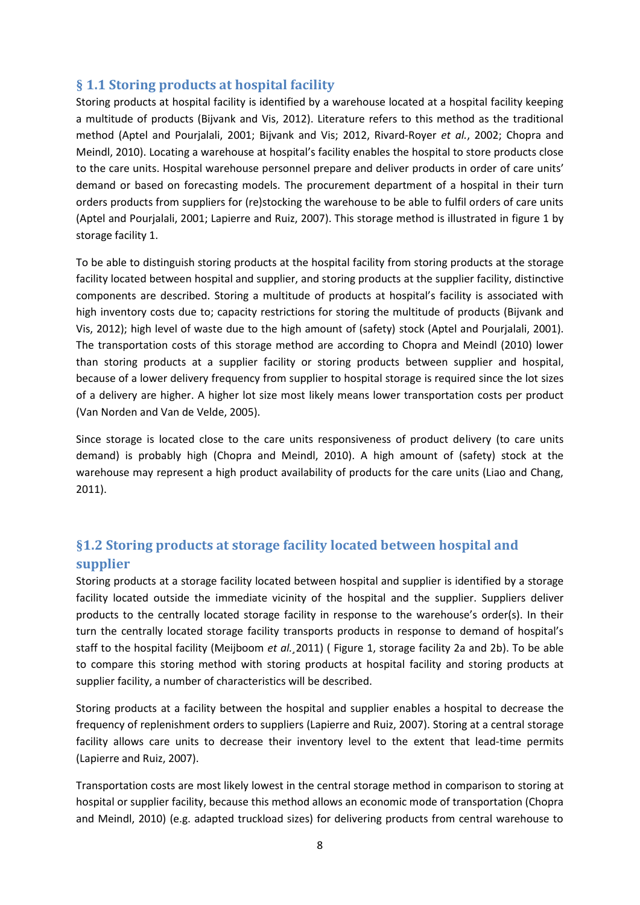## <span id="page-7-0"></span>**§ 1.1 Storing products at hospital facility**

Storing products at hospital facility is identified by a warehouse located at a hospital facility keeping a multitude of products (Bijvank and Vis, 2012). Literature refers to this method as the traditional method (Aptel and Pourjalali, 2001; Bijvank and Vis; 2012, Rivard-Royer *et al.*, 2002; Chopra and Meindl, 2010). Locating a warehouse at hospital's facility enables the hospital to store products close to the care units. Hospital warehouse personnel prepare and deliver products in order of care units' demand or based on forecasting models. The procurement department of a hospital in their turn orders products from suppliers for (re)stocking the warehouse to be able to fulfil orders of care units (Aptel and Pourjalali, 2001; Lapierre and Ruiz, 2007). This storage method is illustrated in figure 1 by storage facility 1.

To be able to distinguish storing products at the hospital facility from storing products at the storage facility located between hospital and supplier, and storing products at the supplier facility, distinctive components are described. Storing a multitude of products at hospital's facility is associated with high inventory costs due to; capacity restrictions for storing the multitude of products (Bijvank and Vis, 2012); high level of waste due to the high amount of (safety) stock (Aptel and Pourjalali, 2001). The transportation costs of this storage method are according to Chopra and Meindl (2010) lower than storing products at a supplier facility or storing products between supplier and hospital, because of a lower delivery frequency from supplier to hospital storage is required since the lot sizes of a delivery are higher. A higher lot size most likely means lower transportation costs per product (Van Norden and Van de Velde, 2005).

Since storage is located close to the care units responsiveness of product delivery (to care units demand) is probably high (Chopra and Meindl, 2010). A high amount of (safety) stock at the warehouse may represent a high product availability of products for the care units (Liao and Chang, 2011).

# <span id="page-7-1"></span>**§1.2 Storing products at storage facility located between hospital and supplier**

Storing products at a storage facility located between hospital and supplier is identified by a storage facility located outside the immediate vicinity of the hospital and the supplier. Suppliers deliver products to the centrally located storage facility in response to the warehouse's order(s). In their turn the centrally located storage facility transports products in response to demand of hospital's staff to the hospital facility (Meijboom *et al.¸*2011) ( Figure 1, storage facility 2a and 2b). To be able to compare this storing method with storing products at hospital facility and storing products at supplier facility, a number of characteristics will be described.

Storing products at a facility between the hospital and supplier enables a hospital to decrease the frequency of replenishment orders to suppliers (Lapierre and Ruiz, 2007). Storing at a central storage facility allows care units to decrease their inventory level to the extent that lead-time permits (Lapierre and Ruiz, 2007).

Transportation costs are most likely lowest in the central storage method in comparison to storing at hospital or supplier facility, because this method allows an economic mode of transportation (Chopra and Meindl, 2010) (e.g. adapted truckload sizes) for delivering products from central warehouse to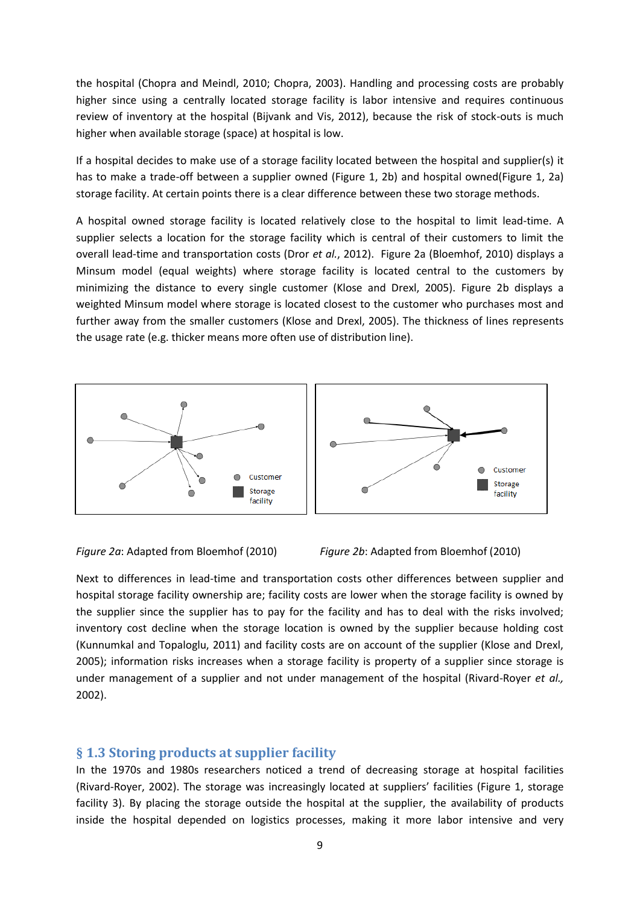the hospital (Chopra and Meindl, 2010; Chopra, 2003). Handling and processing costs are probably higher since using a centrally located storage facility is labor intensive and requires continuous review of inventory at the hospital (Bijvank and Vis, 2012), because the risk of stock-outs is much higher when available storage (space) at hospital is low.

If a hospital decides to make use of a storage facility located between the hospital and supplier(s) it has to make a trade-off between a supplier owned (Figure 1, 2b) and hospital owned(Figure 1, 2a) storage facility. At certain points there is a clear difference between these two storage methods.

A hospital owned storage facility is located relatively close to the hospital to limit lead-time. A supplier selects a location for the storage facility which is central of their customers to limit the overall lead-time and transportation costs (Dror *et al.*, 2012). Figure 2a (Bloemhof, 2010) displays a Minsum model (equal weights) where storage facility is located central to the customers by minimizing the distance to every single customer (Klose and Drexl, 2005). Figure 2b displays a weighted Minsum model where storage is located closest to the customer who purchases most and further away from the smaller customers (Klose and Drexl, 2005). The thickness of lines represents the usage rate (e.g. thicker means more often use of distribution line).





Next to differences in lead-time and transportation costs other differences between supplier and hospital storage facility ownership are; facility costs are lower when the storage facility is owned by the supplier since the supplier has to pay for the facility and has to deal with the risks involved; inventory cost decline when the storage location is owned by the supplier because holding cost (Kunnumkal and Topaloglu, 2011) and facility costs are on account of the supplier (Klose and Drexl, 2005); information risks increases when a storage facility is property of a supplier since storage is under management of a supplier and not under management of the hospital (Rivard-Royer *et al.,* 2002).

#### <span id="page-8-0"></span>**§ 1.3 Storing products at supplier facility**

In the 1970s and 1980s researchers noticed a trend of decreasing storage at hospital facilities (Rivard-Royer, 2002). The storage was increasingly located at suppliers' facilities (Figure 1, storage facility 3). By placing the storage outside the hospital at the supplier, the availability of products inside the hospital depended on logistics processes, making it more labor intensive and very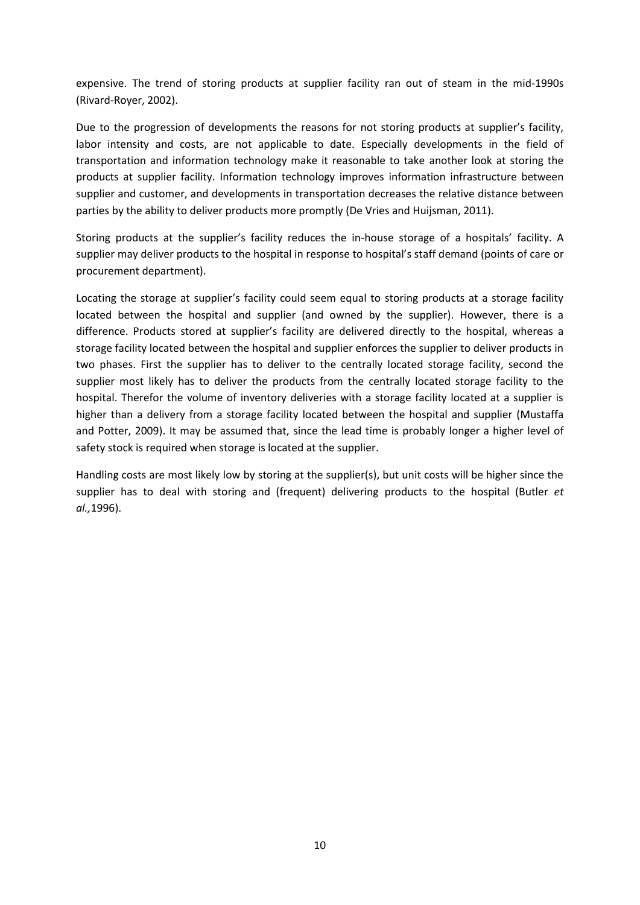expensive. The trend of storing products at supplier facility ran out of steam in the mid-1990s (Rivard-Royer, 2002).

Due to the progression of developments the reasons for not storing products at supplier's facility, labor intensity and costs, are not applicable to date. Especially developments in the field of transportation and information technology make it reasonable to take another look at storing the products at supplier facility. Information technology improves information infrastructure between supplier and customer, and developments in transportation decreases the relative distance between parties by the ability to deliver products more promptly (De Vries and Huijsman, 2011).

Storing products at the supplier's facility reduces the in-house storage of a hospitals' facility. A supplier may deliver products to the hospital in response to hospital's staff demand (points of care or procurement department).

Locating the storage at supplier's facility could seem equal to storing products at a storage facility located between the hospital and supplier (and owned by the supplier). However, there is a difference. Products stored at supplier's facility are delivered directly to the hospital, whereas a storage facility located between the hospital and supplier enforces the supplier to deliver products in two phases. First the supplier has to deliver to the centrally located storage facility, second the supplier most likely has to deliver the products from the centrally located storage facility to the hospital. Therefor the volume of inventory deliveries with a storage facility located at a supplier is higher than a delivery from a storage facility located between the hospital and supplier (Mustaffa and Potter, 2009). It may be assumed that, since the lead time is probably longer a higher level of safety stock is required when storage is located at the supplier.

Handling costs are most likely low by storing at the supplier(s), but unit costs will be higher since the supplier has to deal with storing and (frequent) delivering products to the hospital (Butler *et al.,*1996).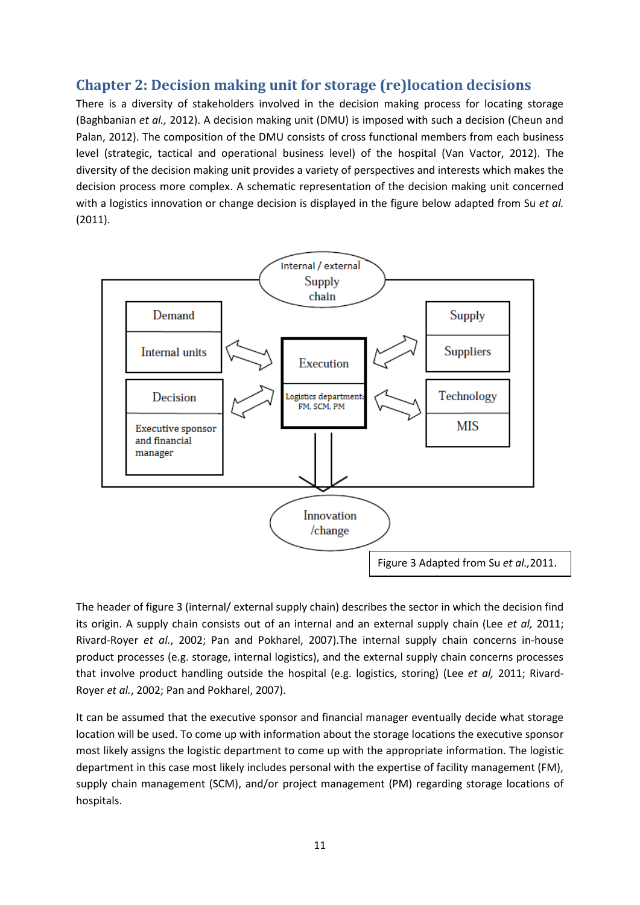# <span id="page-10-0"></span>**Chapter 2: Decision making unit for storage (re)location decisions**

There is a diversity of stakeholders involved in the decision making process for locating storage (Baghbanian *et al.,* 2012). A decision making unit (DMU) is imposed with such a decision (Cheun and Palan, 2012). The composition of the DMU consists of cross functional members from each business level (strategic, tactical and operational business level) of the hospital (Van Vactor, 2012). The diversity of the decision making unit provides a variety of perspectives and interests which makes the decision process more complex. A schematic representation of the decision making unit concerned with a logistics innovation or change decision is displayed in the figure below adapted from Su *et al.*  (2011).



The header of figure 3 (internal/ external supply chain) describes the sector in which the decision find its origin. A supply chain consists out of an internal and an external supply chain (Lee *et al,* 2011; Rivard-Royer *et al.*, 2002; Pan and Pokharel, 2007).The internal supply chain concerns in-house product processes (e.g. storage, internal logistics), and the external supply chain concerns processes that involve product handling outside the hospital (e.g. logistics, storing) (Lee *et al,* 2011; Rivard-Royer *et al.*, 2002; Pan and Pokharel, 2007).

It can be assumed that the executive sponsor and financial manager eventually decide what storage location will be used. To come up with information about the storage locations the executive sponsor most likely assigns the logistic department to come up with the appropriate information. The logistic department in this case most likely includes personal with the expertise of facility management (FM), supply chain management (SCM), and/or project management (PM) regarding storage locations of hospitals.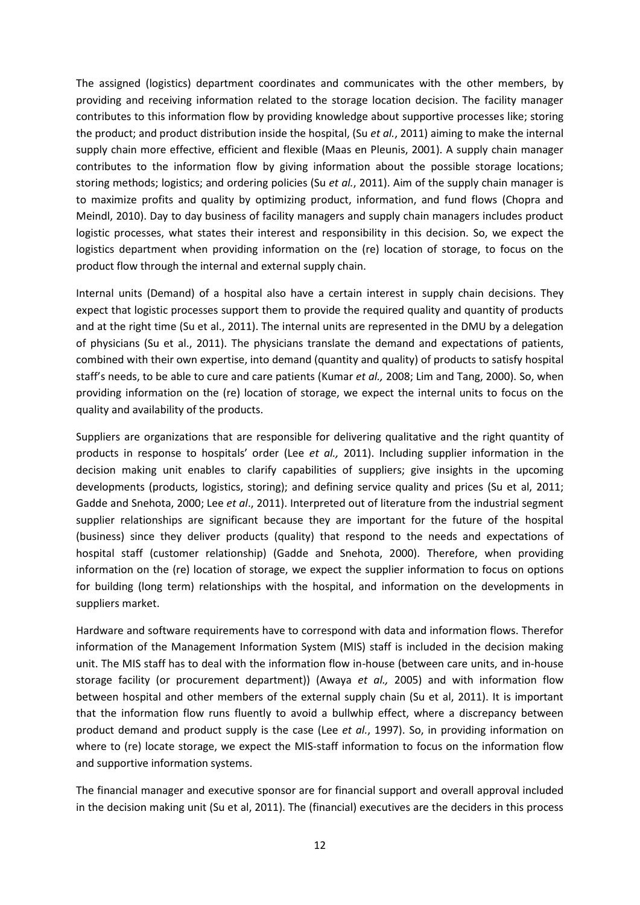The assigned (logistics) department coordinates and communicates with the other members, by providing and receiving information related to the storage location decision. The facility manager contributes to this information flow by providing knowledge about supportive processes like; storing the product; and product distribution inside the hospital, (Su *et al.*, 2011) aiming to make the internal supply chain more effective, efficient and flexible (Maas en Pleunis, 2001). A supply chain manager contributes to the information flow by giving information about the possible storage locations; storing methods; logistics; and ordering policies (Su *et al.*, 2011). Aim of the supply chain manager is to maximize profits and quality by optimizing product, information, and fund flows (Chopra and Meindl, 2010). Day to day business of facility managers and supply chain managers includes product logistic processes, what states their interest and responsibility in this decision. So, we expect the logistics department when providing information on the (re) location of storage, to focus on the product flow through the internal and external supply chain.

Internal units (Demand) of a hospital also have a certain interest in supply chain decisions. They expect that logistic processes support them to provide the required quality and quantity of products and at the right time (Su et al., 2011). The internal units are represented in the DMU by a delegation of physicians (Su et al., 2011). The physicians translate the demand and expectations of patients, combined with their own expertise, into demand (quantity and quality) of products to satisfy hospital staff's needs, to be able to cure and care patients (Kumar *et al.,* 2008; Lim and Tang, 2000). So, when providing information on the (re) location of storage, we expect the internal units to focus on the quality and availability of the products.

Suppliers are organizations that are responsible for delivering qualitative and the right quantity of products in response to hospitals' order (Lee *et al.,* 2011). Including supplier information in the decision making unit enables to clarify capabilities of suppliers; give insights in the upcoming developments (products, logistics, storing); and defining service quality and prices (Su et al, 2011; Gadde and Snehota, 2000; Lee *et al*., 2011). Interpreted out of literature from the industrial segment supplier relationships are significant because they are important for the future of the hospital (business) since they deliver products (quality) that respond to the needs and expectations of hospital staff (customer relationship) (Gadde and Snehota, 2000). Therefore, when providing information on the (re) location of storage, we expect the supplier information to focus on options for building (long term) relationships with the hospital, and information on the developments in suppliers market.

Hardware and software requirements have to correspond with data and information flows. Therefor information of the Management Information System (MIS) staff is included in the decision making unit. The MIS staff has to deal with the information flow in-house (between care units, and in-house storage facility (or procurement department)) (Awaya *et al.,* 2005) and with information flow between hospital and other members of the external supply chain (Su et al, 2011). It is important that the information flow runs fluently to avoid a bullwhip effect, where a discrepancy between product demand and product supply is the case (Lee *et al.*, 1997). So, in providing information on where to (re) locate storage, we expect the MIS-staff information to focus on the information flow and supportive information systems.

The financial manager and executive sponsor are for financial support and overall approval included in the decision making unit (Su et al, 2011). The (financial) executives are the deciders in this process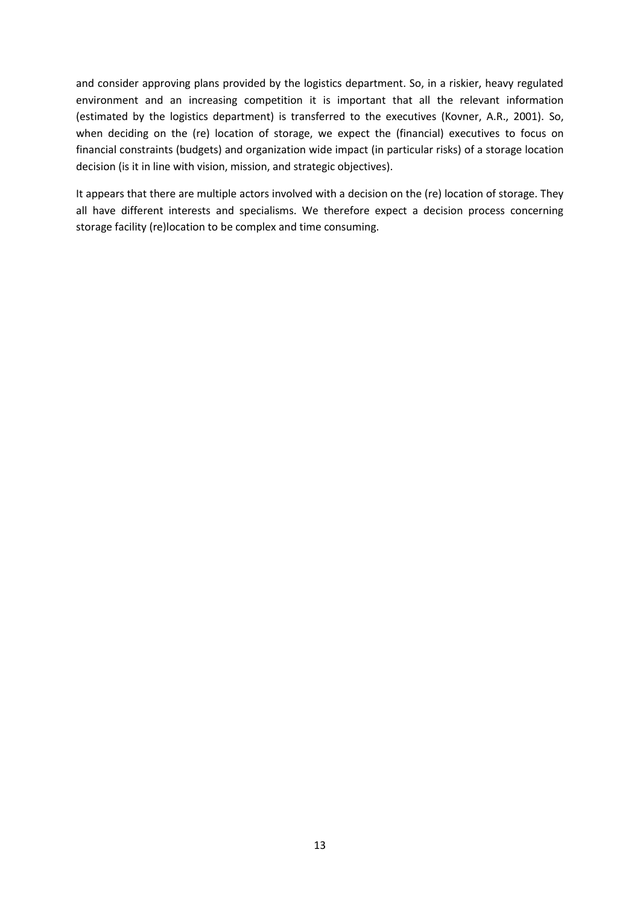and consider approving plans provided by the logistics department. So, in a riskier, heavy regulated environment and an increasing competition it is important that all the relevant information (estimated by the logistics department) is transferred to the executives (Kovner, A.R., 2001). So, when deciding on the (re) location of storage, we expect the (financial) executives to focus on financial constraints (budgets) and organization wide impact (in particular risks) of a storage location decision (is it in line with vision, mission, and strategic objectives).

It appears that there are multiple actors involved with a decision on the (re) location of storage. They all have different interests and specialisms. We therefore expect a decision process concerning storage facility (re)location to be complex and time consuming.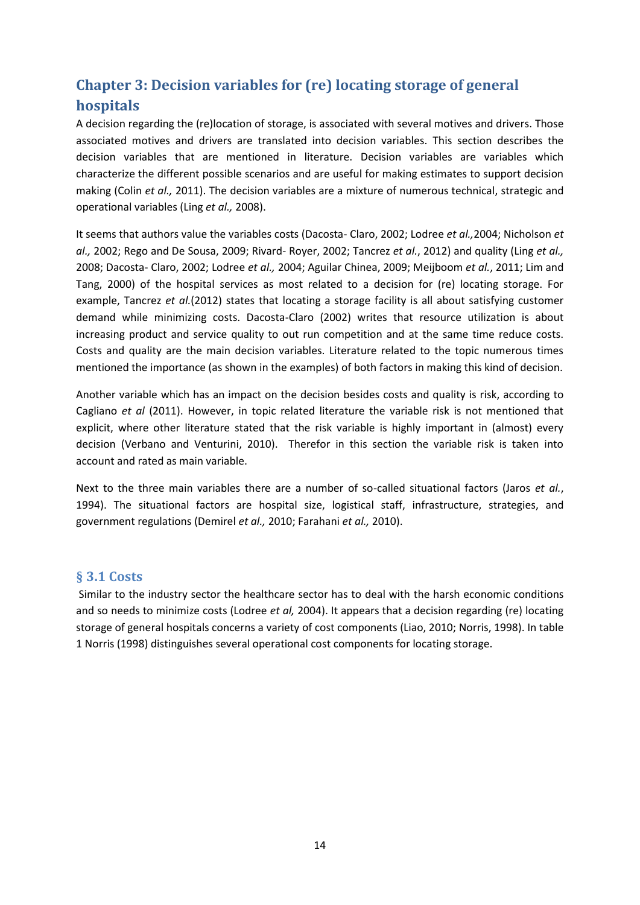# <span id="page-13-0"></span>**Chapter 3: Decision variables for (re) locating storage of general hospitals**

A decision regarding the (re)location of storage, is associated with several motives and drivers. Those associated motives and drivers are translated into decision variables. This section describes the decision variables that are mentioned in literature. Decision variables are variables which characterize the different possible scenarios and are useful for making estimates to support decision making (Colin *et al.,* 2011). The decision variables are a mixture of numerous technical, strategic and operational variables (Ling *et al.,* 2008).

It seems that authors value the variables costs (Dacosta- Claro, 2002; Lodree *et al.,*2004; Nicholson *et al.,* 2002; Rego and De Sousa, 2009; Rivard- Royer, 2002; Tancrez *et al.*, 2012) and quality (Ling *et al.,*  2008; Dacosta- Claro, 2002; Lodree *et al.,* 2004; Aguilar Chinea, 2009; Meijboom *et al.*, 2011; Lim and Tang, 2000) of the hospital services as most related to a decision for (re) locating storage. For example, Tancrez *et al.*(2012) states that locating a storage facility is all about satisfying customer demand while minimizing costs. Dacosta-Claro (2002) writes that resource utilization is about increasing product and service quality to out run competition and at the same time reduce costs. Costs and quality are the main decision variables. Literature related to the topic numerous times mentioned the importance (as shown in the examples) of both factors in making this kind of decision.

Another variable which has an impact on the decision besides costs and quality is risk, according to Cagliano *et al* (2011). However, in topic related literature the variable risk is not mentioned that explicit, where other literature stated that the risk variable is highly important in (almost) every decision (Verbano and Venturini, 2010). Therefor in this section the variable risk is taken into account and rated as main variable.

Next to the three main variables there are a number of so-called situational factors (Jaros *et al.*, 1994). The situational factors are hospital size, logistical staff, infrastructure, strategies, and government regulations (Demirel *et al.,* 2010; Farahani *et al.,* 2010).

### <span id="page-13-1"></span>**§ 3.1 Costs**

Similar to the industry sector the healthcare sector has to deal with the harsh economic conditions and so needs to minimize costs (Lodree *et al,* 2004). It appears that a decision regarding (re) locating storage of general hospitals concerns a variety of cost components (Liao, 2010; Norris, 1998). In table 1 Norris (1998) distinguishes several operational cost components for locating storage.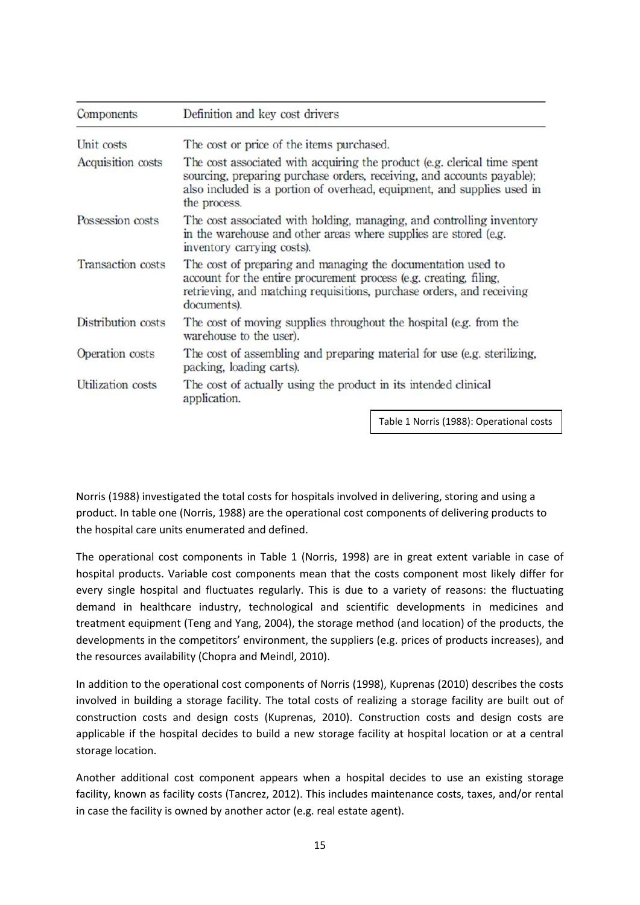| Definition and key cost drivers                                                                                                                                                                                                               |  |  |
|-----------------------------------------------------------------------------------------------------------------------------------------------------------------------------------------------------------------------------------------------|--|--|
| The cost or price of the items purchased.                                                                                                                                                                                                     |  |  |
| The cost associated with acquiring the product (e.g. clerical time spent<br>sourcing, preparing purchase orders, receiving, and accounts payable);<br>also included is a portion of overhead, equipment, and supplies used in<br>the process. |  |  |
| The cost associated with holding, managing, and controlling inventory<br>in the warehouse and other areas where supplies are stored (e.g.<br>inventory carrying costs).                                                                       |  |  |
| The cost of preparing and managing the documentation used to<br>account for the entire procurement process (e.g. creating, filing,<br>retrieving, and matching requisitions, purchase orders, and receiving<br>documents).                    |  |  |
| The cost of moving supplies throughout the hospital (e.g. from the<br>warehouse to the user).                                                                                                                                                 |  |  |
| The cost of assembling and preparing material for use (e.g. sterilizing,<br>packing, loading carts).                                                                                                                                          |  |  |
| The cost of actually using the product in its intended clinical<br>application.                                                                                                                                                               |  |  |
|                                                                                                                                                                                                                                               |  |  |

Table 1 Norris (1988): Operational costs

Norris (1988) investigated the total costs for hospitals involved in delivering, storing and using a product. In table one (Norris, 1988) are the operational cost components of delivering products to the hospital care units enumerated and defined.

The operational cost components in Table 1 (Norris, 1998) are in great extent variable in case of hospital products. Variable cost components mean that the costs component most likely differ for every single hospital and fluctuates regularly. This is due to a variety of reasons: the fluctuating demand in healthcare industry, technological and scientific developments in medicines and treatment equipment (Teng and Yang, 2004), the storage method (and location) of the products, the developments in the competitors' environment, the suppliers (e.g. prices of products increases), and the resources availability (Chopra and Meindl, 2010).

In addition to the operational cost components of Norris (1998), Kuprenas (2010) describes the costs involved in building a storage facility. The total costs of realizing a storage facility are built out of construction costs and design costs (Kuprenas, 2010). Construction costs and design costs are applicable if the hospital decides to build a new storage facility at hospital location or at a central storage location.

Another additional cost component appears when a hospital decides to use an existing storage facility, known as facility costs (Tancrez, 2012). This includes maintenance costs, taxes, and/or rental in case the facility is owned by another actor (e.g. real estate agent).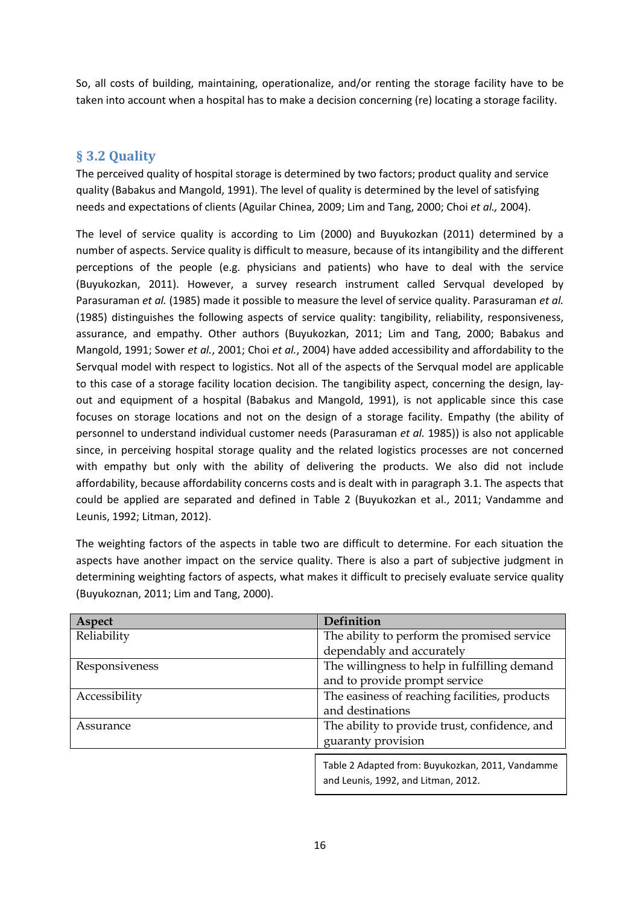So, all costs of building, maintaining, operationalize, and/or renting the storage facility have to be taken into account when a hospital has to make a decision concerning (re) locating a storage facility.

# <span id="page-15-0"></span>**§ 3.2 Quality**

The perceived quality of hospital storage is determined by two factors; product quality and service quality (Babakus and Mangold, 1991). The level of quality is determined by the level of satisfying needs and expectations of clients (Aguilar Chinea, 2009; Lim and Tang, 2000; Choi *et al.,* 2004).

The level of service quality is according to Lim (2000) and Buyukozkan (2011) determined by a number of aspects. Service quality is difficult to measure, because of its intangibility and the different perceptions of the people (e.g. physicians and patients) who have to deal with the service (Buyukozkan, 2011). However, a survey research instrument called Servqual developed by Parasuraman *et al.* (1985) made it possible to measure the level of service quality. Parasuraman *et al.* (1985) distinguishes the following aspects of service quality: tangibility, reliability, responsiveness, assurance, and empathy. Other authors (Buyukozkan, 2011; Lim and Tang, 2000; Babakus and Mangold, 1991; Sower *et al.*, 2001; Choi *et al.*, 2004) have added accessibility and affordability to the Servqual model with respect to logistics. Not all of the aspects of the Servqual model are applicable to this case of a storage facility location decision. The tangibility aspect, concerning the design, layout and equipment of a hospital (Babakus and Mangold, 1991), is not applicable since this case focuses on storage locations and not on the design of a storage facility. Empathy (the ability of personnel to understand individual customer needs (Parasuraman *et al.* 1985)) is also not applicable since, in perceiving hospital storage quality and the related logistics processes are not concerned with empathy but only with the ability of delivering the products. We also did not include affordability, because affordability concerns costs and is dealt with in paragraph 3.1. The aspects that could be applied are separated and defined in Table 2 (Buyukozkan et al., 2011; Vandamme and Leunis, 1992; Litman, 2012).

The weighting factors of the aspects in table two are difficult to determine. For each situation the aspects have another impact on the service quality. There is also a part of subjective judgment in determining weighting factors of aspects, what makes it difficult to precisely evaluate service quality (Buyukoznan, 2011; Lim and Tang, 2000).

| Aspect         | Definition                                                                              |  |  |
|----------------|-----------------------------------------------------------------------------------------|--|--|
| Reliability    | The ability to perform the promised service                                             |  |  |
|                | dependably and accurately                                                               |  |  |
| Responsiveness | The willingness to help in fulfilling demand                                            |  |  |
|                | and to provide prompt service                                                           |  |  |
| Accessibility  | The easiness of reaching facilities, products                                           |  |  |
|                | and destinations                                                                        |  |  |
| Assurance      | The ability to provide trust, confidence, and                                           |  |  |
|                | guaranty provision                                                                      |  |  |
|                | Table 2 Adapted from: Buyukozkan, 2011, Vandamme<br>and Leunis, 1992, and Litman, 2012. |  |  |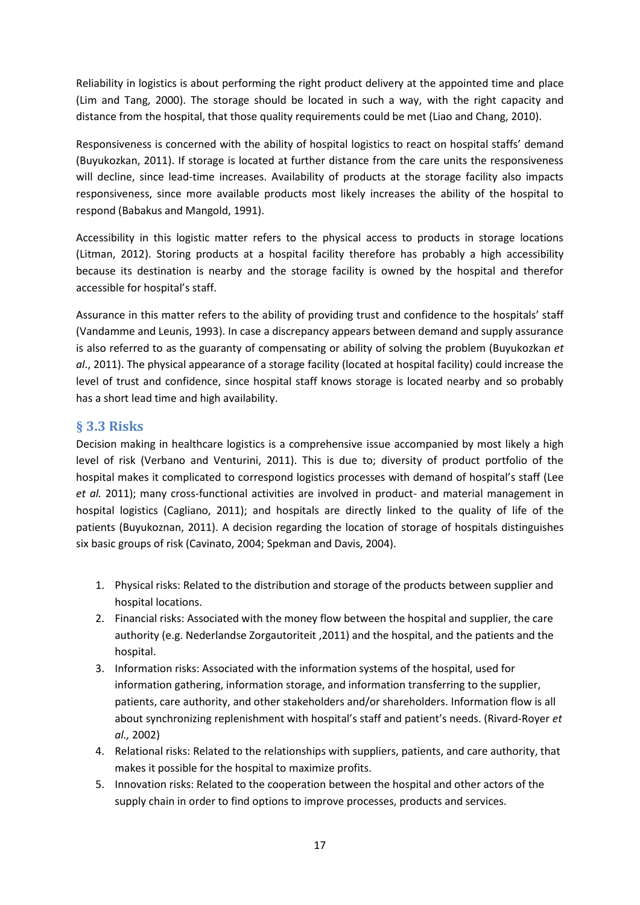Reliability in logistics is about performing the right product delivery at the appointed time and place (Lim and Tang, 2000). The storage should be located in such a way, with the right capacity and distance from the hospital, that those quality requirements could be met (Liao and Chang, 2010).

Responsiveness is concerned with the ability of hospital logistics to react on hospital staffs' demand (Buyukozkan, 2011). If storage is located at further distance from the care units the responsiveness will decline, since lead-time increases. Availability of products at the storage facility also impacts responsiveness, since more available products most likely increases the ability of the hospital to respond (Babakus and Mangold, 1991).

Accessibility in this logistic matter refers to the physical access to products in storage locations (Litman, 2012). Storing products at a hospital facility therefore has probably a high accessibility because its destination is nearby and the storage facility is owned by the hospital and therefor accessible for hospital's staff.

Assurance in this matter refers to the ability of providing trust and confidence to the hospitals' staff (Vandamme and Leunis, 1993). In case a discrepancy appears between demand and supply assurance is also referred to as the guaranty of compensating or ability of solving the problem (Buyukozkan *et al*., 2011). The physical appearance of a storage facility (located at hospital facility) could increase the level of trust and confidence, since hospital staff knows storage is located nearby and so probably has a short lead time and high availability.

## <span id="page-16-0"></span>**§ 3.3 Risks**

Decision making in healthcare logistics is a comprehensive issue accompanied by most likely a high level of risk (Verbano and Venturini, 2011). This is due to; diversity of product portfolio of the hospital makes it complicated to correspond logistics processes with demand of hospital's staff (Lee *et al.* 2011); many cross-functional activities are involved in product- and material management in hospital logistics (Cagliano, 2011); and hospitals are directly linked to the quality of life of the patients (Buyukoznan, 2011). A decision regarding the location of storage of hospitals distinguishes six basic groups of risk (Cavinato, 2004; Spekman and Davis, 2004).

- 1. Physical risks: Related to the distribution and storage of the products between supplier and hospital locations.
- 2. Financial risks: Associated with the money flow between the hospital and supplier, the care authority (e.g. Nederlandse Zorgautoriteit ,2011) and the hospital, and the patients and the hospital.
- 3. Information risks: Associated with the information systems of the hospital, used for information gathering, information storage, and information transferring to the supplier, patients, care authority, and other stakeholders and/or shareholders. Information flow is all about synchronizing replenishment with hospital's staff and patient's needs. (Rivard-Royer *et al.,* 2002)
- 4. Relational risks: Related to the relationships with suppliers, patients, and care authority, that makes it possible for the hospital to maximize profits.
- 5. Innovation risks: Related to the cooperation between the hospital and other actors of the supply chain in order to find options to improve processes, products and services.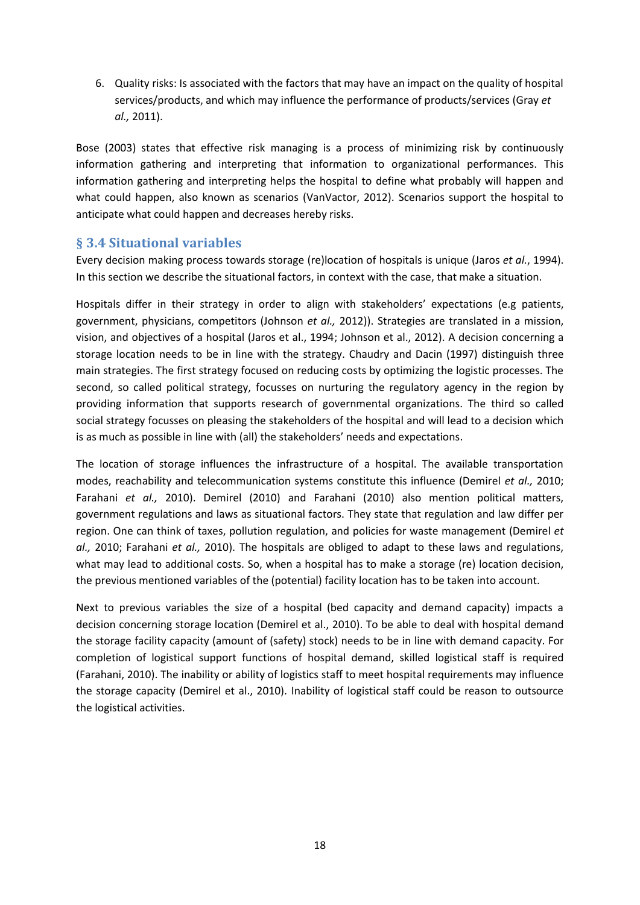6. Quality risks: Is associated with the factors that may have an impact on the quality of hospital services/products, and which may influence the performance of products/services (Gray *et al.,* 2011).

Bose (2003) states that effective risk managing is a process of minimizing risk by continuously information gathering and interpreting that information to organizational performances. This information gathering and interpreting helps the hospital to define what probably will happen and what could happen, also known as scenarios (VanVactor, 2012). Scenarios support the hospital to anticipate what could happen and decreases hereby risks.

## <span id="page-17-0"></span>**§ 3.4 Situational variables**

Every decision making process towards storage (re)location of hospitals is unique (Jaros *et al.*, 1994). In this section we describe the situational factors, in context with the case, that make a situation.

Hospitals differ in their strategy in order to align with stakeholders' expectations (e.g patients, government, physicians, competitors (Johnson *et al.,* 2012)). Strategies are translated in a mission, vision, and objectives of a hospital (Jaros et al., 1994; Johnson et al., 2012). A decision concerning a storage location needs to be in line with the strategy. Chaudry and Dacin (1997) distinguish three main strategies. The first strategy focused on reducing costs by optimizing the logistic processes. The second, so called political strategy, focusses on nurturing the regulatory agency in the region by providing information that supports research of governmental organizations. The third so called social strategy focusses on pleasing the stakeholders of the hospital and will lead to a decision which is as much as possible in line with (all) the stakeholders' needs and expectations.

The location of storage influences the infrastructure of a hospital. The available transportation modes, reachability and telecommunication systems constitute this influence (Demirel *et al.,* 2010; Farahani *et al.,* 2010). Demirel (2010) and Farahani (2010) also mention political matters, government regulations and laws as situational factors. They state that regulation and law differ per region. One can think of taxes, pollution regulation, and policies for waste management (Demirel *et al.,* 2010; Farahani *et al.,* 2010). The hospitals are obliged to adapt to these laws and regulations, what may lead to additional costs. So, when a hospital has to make a storage (re) location decision, the previous mentioned variables of the (potential) facility location has to be taken into account.

Next to previous variables the size of a hospital (bed capacity and demand capacity) impacts a decision concerning storage location (Demirel et al., 2010). To be able to deal with hospital demand the storage facility capacity (amount of (safety) stock) needs to be in line with demand capacity. For completion of logistical support functions of hospital demand, skilled logistical staff is required (Farahani, 2010). The inability or ability of logistics staff to meet hospital requirements may influence the storage capacity (Demirel et al., 2010). Inability of logistical staff could be reason to outsource the logistical activities.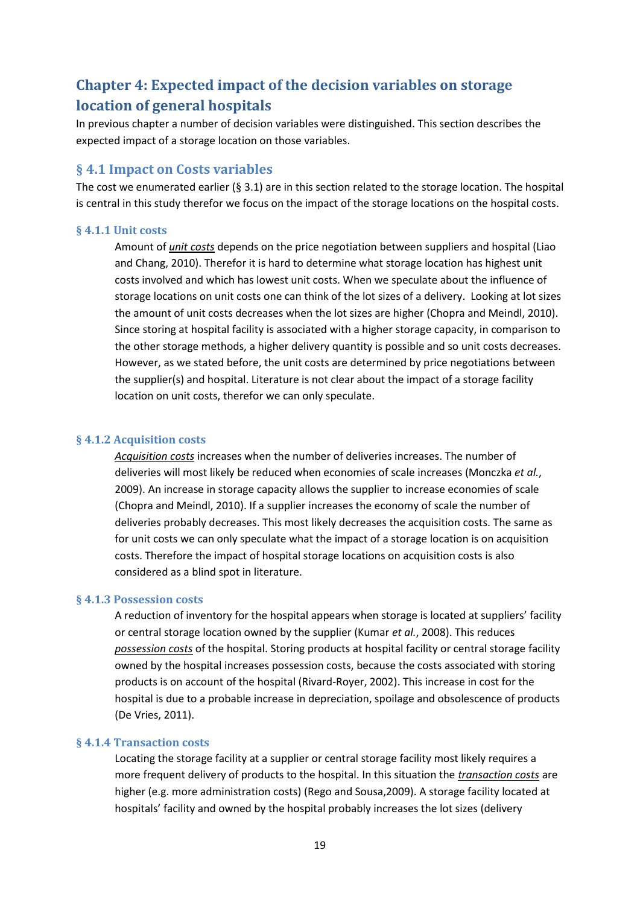# <span id="page-18-0"></span>**Chapter 4: Expected impact of the decision variables on storage location of general hospitals**

In previous chapter a number of decision variables were distinguished. This section describes the expected impact of a storage location on those variables.

### <span id="page-18-1"></span>**§ 4.1 Impact on Costs variables**

The cost we enumerated earlier (§ 3.1) are in this section related to the storage location. The hospital is central in this study therefor we focus on the impact of the storage locations on the hospital costs.

#### <span id="page-18-2"></span>**§ 4.1.1 Unit costs**

Amount of *unit costs* depends on the price negotiation between suppliers and hospital (Liao and Chang, 2010). Therefor it is hard to determine what storage location has highest unit costs involved and which has lowest unit costs. When we speculate about the influence of storage locations on unit costs one can think of the lot sizes of a delivery. Looking at lot sizes the amount of unit costs decreases when the lot sizes are higher (Chopra and Meindl, 2010). Since storing at hospital facility is associated with a higher storage capacity, in comparison to the other storage methods, a higher delivery quantity is possible and so unit costs decreases. However, as we stated before, the unit costs are determined by price negotiations between the supplier(s) and hospital. Literature is not clear about the impact of a storage facility location on unit costs, therefor we can only speculate.

#### <span id="page-18-3"></span>**§ 4.1.2 Acquisition costs**

*Acquisition costs* increases when the number of deliveries increases. The number of deliveries will most likely be reduced when economies of scale increases (Monczka *et al.*, 2009). An increase in storage capacity allows the supplier to increase economies of scale (Chopra and Meindl, 2010). If a supplier increases the economy of scale the number of deliveries probably decreases. This most likely decreases the acquisition costs. The same as for unit costs we can only speculate what the impact of a storage location is on acquisition costs. Therefore the impact of hospital storage locations on acquisition costs is also considered as a blind spot in literature.

#### <span id="page-18-4"></span>**§ 4.1.3 Possession costs**

A reduction of inventory for the hospital appears when storage is located at suppliers' facility or central storage location owned by the supplier (Kumar *et al.*, 2008). This reduces *possession costs* of the hospital. Storing products at hospital facility or central storage facility owned by the hospital increases possession costs, because the costs associated with storing products is on account of the hospital (Rivard-Royer, 2002). This increase in cost for the hospital is due to a probable increase in depreciation, spoilage and obsolescence of products (De Vries, 2011).

#### <span id="page-18-5"></span>**§ 4.1.4 Transaction costs**

Locating the storage facility at a supplier or central storage facility most likely requires a more frequent delivery of products to the hospital. In this situation the *transaction costs* are higher (e.g. more administration costs) (Rego and Sousa,2009). A storage facility located at hospitals' facility and owned by the hospital probably increases the lot sizes (delivery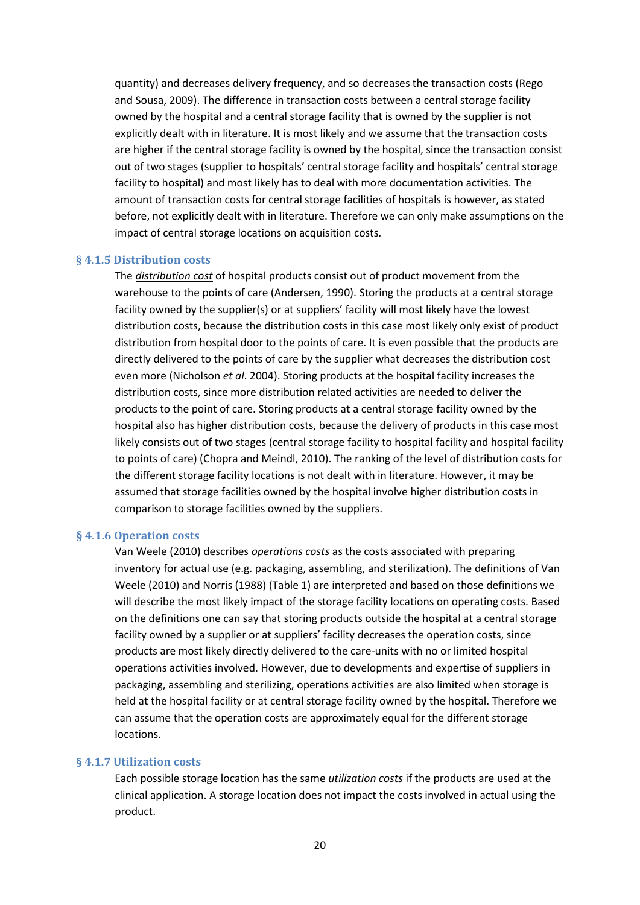quantity) and decreases delivery frequency, and so decreases the transaction costs (Rego and Sousa, 2009). The difference in transaction costs between a central storage facility owned by the hospital and a central storage facility that is owned by the supplier is not explicitly dealt with in literature. It is most likely and we assume that the transaction costs are higher if the central storage facility is owned by the hospital, since the transaction consist out of two stages (supplier to hospitals' central storage facility and hospitals' central storage facility to hospital) and most likely has to deal with more documentation activities. The amount of transaction costs for central storage facilities of hospitals is however, as stated before, not explicitly dealt with in literature. Therefore we can only make assumptions on the impact of central storage locations on acquisition costs.

#### <span id="page-19-0"></span>**§ 4.1.5 Distribution costs**

The *distribution cost* of hospital products consist out of product movement from the warehouse to the points of care (Andersen, 1990). Storing the products at a central storage facility owned by the supplier(s) or at suppliers' facility will most likely have the lowest distribution costs, because the distribution costs in this case most likely only exist of product distribution from hospital door to the points of care. It is even possible that the products are directly delivered to the points of care by the supplier what decreases the distribution cost even more (Nicholson *et al*. 2004). Storing products at the hospital facility increases the distribution costs, since more distribution related activities are needed to deliver the products to the point of care. Storing products at a central storage facility owned by the hospital also has higher distribution costs, because the delivery of products in this case most likely consists out of two stages (central storage facility to hospital facility and hospital facility to points of care) (Chopra and Meindl, 2010). The ranking of the level of distribution costs for the different storage facility locations is not dealt with in literature. However, it may be assumed that storage facilities owned by the hospital involve higher distribution costs in comparison to storage facilities owned by the suppliers.

#### <span id="page-19-1"></span>**§ 4.1.6 Operation costs**

Van Weele (2010) describes *operations costs* as the costs associated with preparing inventory for actual use (e.g. packaging, assembling, and sterilization). The definitions of Van Weele (2010) and Norris (1988) (Table 1) are interpreted and based on those definitions we will describe the most likely impact of the storage facility locations on operating costs. Based on the definitions one can say that storing products outside the hospital at a central storage facility owned by a supplier or at suppliers' facility decreases the operation costs, since products are most likely directly delivered to the care-units with no or limited hospital operations activities involved. However, due to developments and expertise of suppliers in packaging, assembling and sterilizing, operations activities are also limited when storage is held at the hospital facility or at central storage facility owned by the hospital. Therefore we can assume that the operation costs are approximately equal for the different storage locations.

#### <span id="page-19-2"></span>**§ 4.1.7 Utilization costs**

Each possible storage location has the same *utilization costs* if the products are used at the clinical application. A storage location does not impact the costs involved in actual using the product.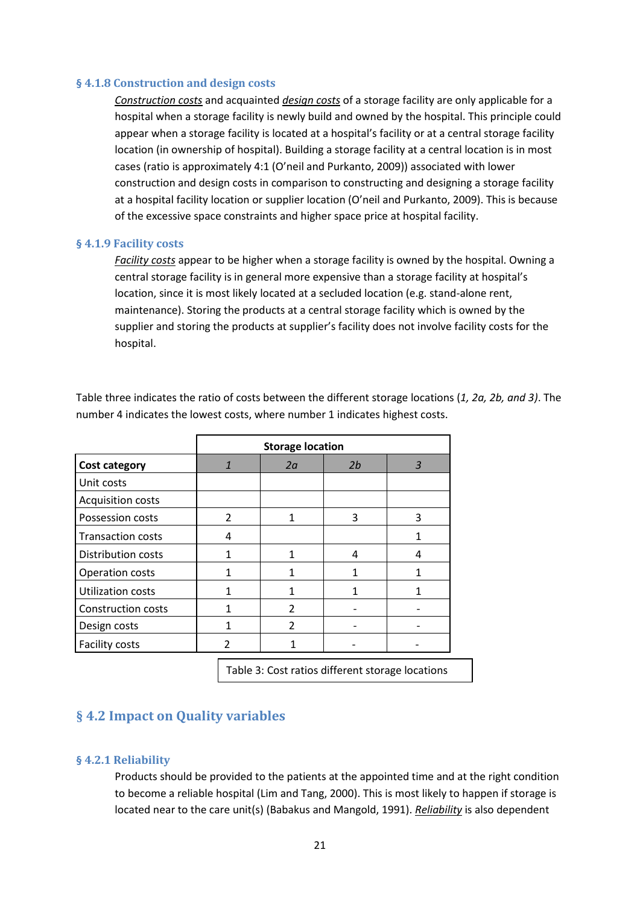#### <span id="page-20-0"></span>**§ 4.1.8 Construction and design costs**

*Construction costs* and acquainted *design costs* of a storage facility are only applicable for a hospital when a storage facility is newly build and owned by the hospital. This principle could appear when a storage facility is located at a hospital's facility or at a central storage facility location (in ownership of hospital). Building a storage facility at a central location is in most cases (ratio is approximately 4:1 (O'neil and Purkanto, 2009)) associated with lower construction and design costs in comparison to constructing and designing a storage facility at a hospital facility location or supplier location (O'neil and Purkanto, 2009). This is because of the excessive space constraints and higher space price at hospital facility.

#### <span id="page-20-1"></span>**§ 4.1.9 Facility costs**

*Facility costs* appear to be higher when a storage facility is owned by the hospital. Owning a central storage facility is in general more expensive than a storage facility at hospital's location, since it is most likely located at a secluded location (e.g. stand-alone rent, maintenance). Storing the products at a central storage facility which is owned by the supplier and storing the products at supplier's facility does not involve facility costs for the hospital.

|                           | <b>Storage location</b> |    |    |   |
|---------------------------|-------------------------|----|----|---|
| <b>Cost category</b>      | 1                       | 2a | 2b | 3 |
| Unit costs                |                         |    |    |   |
| <b>Acquisition costs</b>  |                         |    |    |   |
| Possession costs          | $\overline{2}$          | 1  | 3  | 3 |
| <b>Transaction costs</b>  | 4                       |    |    | 1 |
| Distribution costs        | 1                       |    | 4  | 4 |
| <b>Operation costs</b>    | 1                       |    |    |   |
| <b>Utilization costs</b>  | 1                       |    |    |   |
| <b>Construction costs</b> |                         | 2  |    |   |
| Design costs              | 1                       | 2  |    |   |
| <b>Facility costs</b>     |                         |    |    |   |

Table three indicates the ratio of costs between the different storage locations (*1, 2a, 2b, and 3)*. The number 4 indicates the lowest costs, where number 1 indicates highest costs.

Table 3: Cost ratios different storage locations

## <span id="page-20-2"></span>**§ 4.2 Impact on Quality variables**

#### <span id="page-20-3"></span>**§ 4.2.1 Reliability**

Products should be provided to the patients at the appointed time and at the right condition to become a reliable hospital (Lim and Tang, 2000). This is most likely to happen if storage is located near to the care unit(s) (Babakus and Mangold, 1991). *Reliability* is also dependent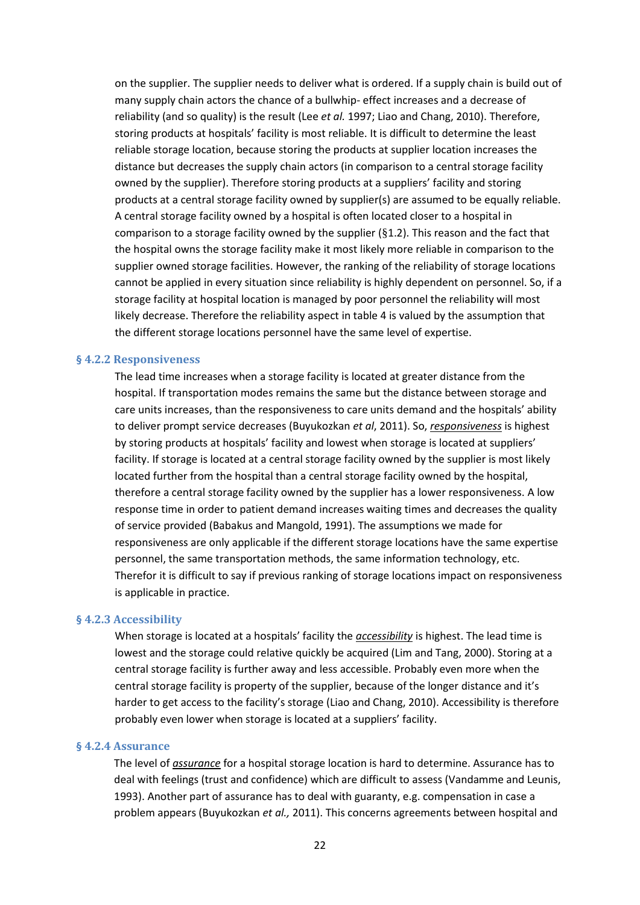on the supplier. The supplier needs to deliver what is ordered. If a supply chain is build out of many supply chain actors the chance of a bullwhip- effect increases and a decrease of reliability (and so quality) is the result (Lee *et al.* 1997; Liao and Chang, 2010). Therefore, storing products at hospitals' facility is most reliable. It is difficult to determine the least reliable storage location, because storing the products at supplier location increases the distance but decreases the supply chain actors (in comparison to a central storage facility owned by the supplier). Therefore storing products at a suppliers' facility and storing products at a central storage facility owned by supplier(s) are assumed to be equally reliable. A central storage facility owned by a hospital is often located closer to a hospital in comparison to a storage facility owned by the supplier (§1.2). This reason and the fact that the hospital owns the storage facility make it most likely more reliable in comparison to the supplier owned storage facilities. However, the ranking of the reliability of storage locations cannot be applied in every situation since reliability is highly dependent on personnel. So, if a storage facility at hospital location is managed by poor personnel the reliability will most likely decrease. Therefore the reliability aspect in table 4 is valued by the assumption that the different storage locations personnel have the same level of expertise.

#### <span id="page-21-0"></span>**§ 4.2.2 Responsiveness**

The lead time increases when a storage facility is located at greater distance from the hospital. If transportation modes remains the same but the distance between storage and care units increases, than the responsiveness to care units demand and the hospitals' ability to deliver prompt service decreases (Buyukozkan *et al*, 2011). So, *responsiveness* is highest by storing products at hospitals' facility and lowest when storage is located at suppliers' facility. If storage is located at a central storage facility owned by the supplier is most likely located further from the hospital than a central storage facility owned by the hospital, therefore a central storage facility owned by the supplier has a lower responsiveness. A low response time in order to patient demand increases waiting times and decreases the quality of service provided (Babakus and Mangold, 1991). The assumptions we made for responsiveness are only applicable if the different storage locations have the same expertise personnel, the same transportation methods, the same information technology, etc. Therefor it is difficult to say if previous ranking of storage locations impact on responsiveness is applicable in practice.

#### <span id="page-21-1"></span>**§ 4.2.3 Accessibility**

When storage is located at a hospitals' facility the *accessibility* is highest. The lead time is lowest and the storage could relative quickly be acquired (Lim and Tang, 2000). Storing at a central storage facility is further away and less accessible. Probably even more when the central storage facility is property of the supplier, because of the longer distance and it's harder to get access to the facility's storage (Liao and Chang, 2010). Accessibility is therefore probably even lower when storage is located at a suppliers' facility.

#### <span id="page-21-2"></span>**§ 4.2.4 Assurance**

The level of *assurance* for a hospital storage location is hard to determine. Assurance has to deal with feelings (trust and confidence) which are difficult to assess (Vandamme and Leunis, 1993). Another part of assurance has to deal with guaranty, e.g. compensation in case a problem appears (Buyukozkan *et al.,* 2011). This concerns agreements between hospital and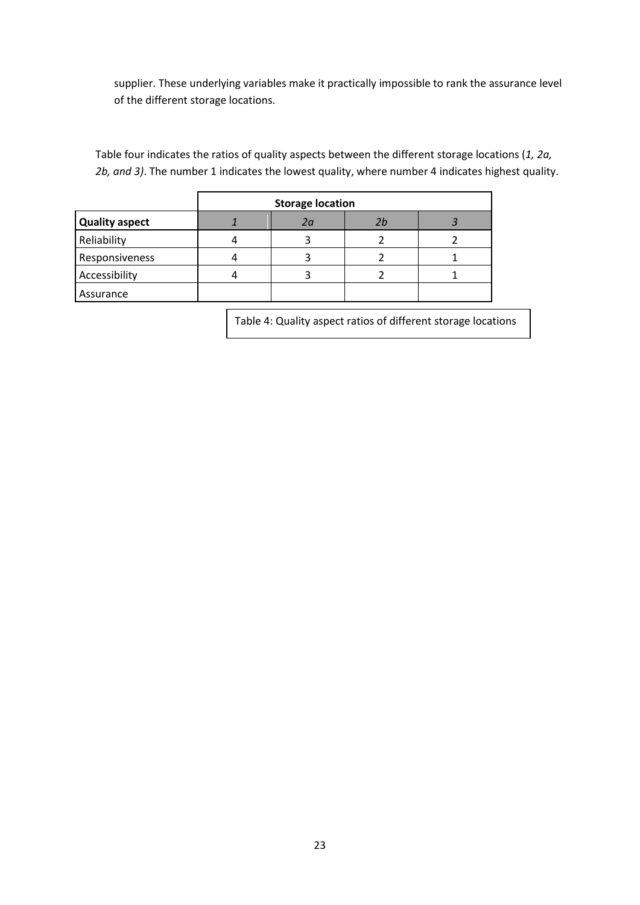supplier. These underlying variables make it practically impossible to rank the assurance level of the different storage locations.

Table four indicates the ratios of quality aspects between the different storage locations (*1, 2a, 2b, and 3)*. The number 1 indicates the lowest quality, where number 4 indicates highest quality.

|                       | <b>Storage location</b> |    |    |  |
|-----------------------|-------------------------|----|----|--|
| <b>Quality aspect</b> |                         | 2a | 2b |  |
| Reliability           |                         |    |    |  |
| Responsiveness        |                         |    |    |  |
| Accessibility         |                         |    |    |  |
| Assurance             |                         |    |    |  |

Table 4: Quality aspect ratios of different storage locations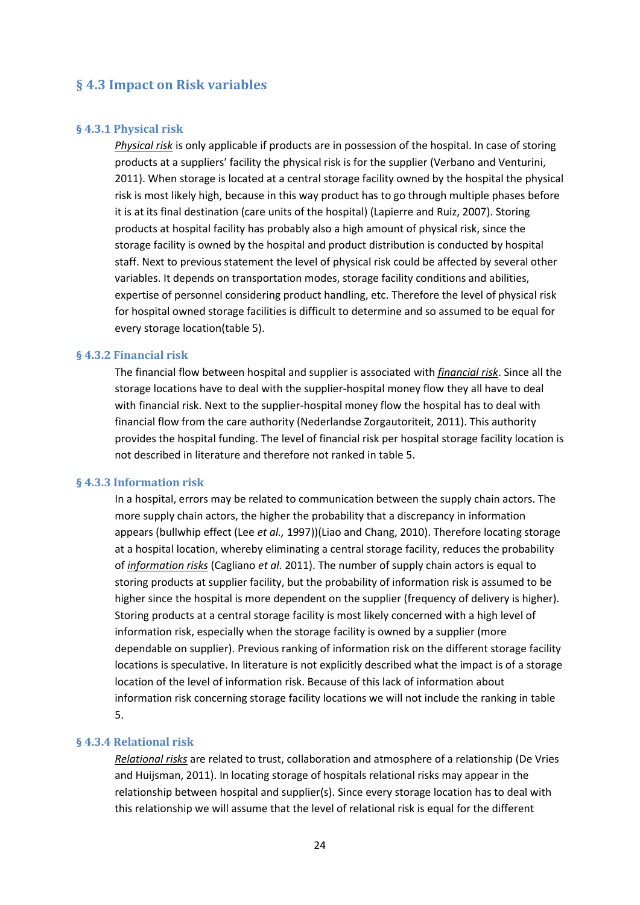### <span id="page-23-0"></span>**§ 4.3 Impact on Risk variables**

#### <span id="page-23-1"></span>**§ 4.3.1 Physical risk**

*Physical risk* is only applicable if products are in possession of the hospital. In case of storing products at a suppliers' facility the physical risk is for the supplier (Verbano and Venturini, 2011). When storage is located at a central storage facility owned by the hospital the physical risk is most likely high, because in this way product has to go through multiple phases before it is at its final destination (care units of the hospital) (Lapierre and Ruiz, 2007). Storing products at hospital facility has probably also a high amount of physical risk, since the storage facility is owned by the hospital and product distribution is conducted by hospital staff. Next to previous statement the level of physical risk could be affected by several other variables. It depends on transportation modes, storage facility conditions and abilities, expertise of personnel considering product handling, etc. Therefore the level of physical risk for hospital owned storage facilities is difficult to determine and so assumed to be equal for every storage location(table 5).

#### <span id="page-23-2"></span>**§ 4.3.2 Financial risk**

The financial flow between hospital and supplier is associated with *financial risk*. Since all the storage locations have to deal with the supplier-hospital money flow they all have to deal with financial risk. Next to the supplier-hospital money flow the hospital has to deal with financial flow from the care authority (Nederlandse Zorgautoriteit, 2011). This authority provides the hospital funding. The level of financial risk per hospital storage facility location is not described in literature and therefore not ranked in table 5.

#### <span id="page-23-3"></span>**§ 4.3.3 Information risk**

In a hospital, errors may be related to communication between the supply chain actors. The more supply chain actors, the higher the probability that a discrepancy in information appears (bullwhip effect (Lee *et al.,* 1997))(Liao and Chang, 2010). Therefore locating storage at a hospital location, whereby eliminating a central storage facility, reduces the probability of *information risks* (Cagliano *et al.* 2011). The number of supply chain actors is equal to storing products at supplier facility, but the probability of information risk is assumed to be higher since the hospital is more dependent on the supplier (frequency of delivery is higher). Storing products at a central storage facility is most likely concerned with a high level of information risk, especially when the storage facility is owned by a supplier (more dependable on supplier). Previous ranking of information risk on the different storage facility locations is speculative. In literature is not explicitly described what the impact is of a storage location of the level of information risk. Because of this lack of information about information risk concerning storage facility locations we will not include the ranking in table 5.

#### <span id="page-23-4"></span>**§ 4.3.4 Relational risk**

*Relational risks* are related to trust, collaboration and atmosphere of a relationship (De Vries and Huijsman, 2011). In locating storage of hospitals relational risks may appear in the relationship between hospital and supplier(s). Since every storage location has to deal with this relationship we will assume that the level of relational risk is equal for the different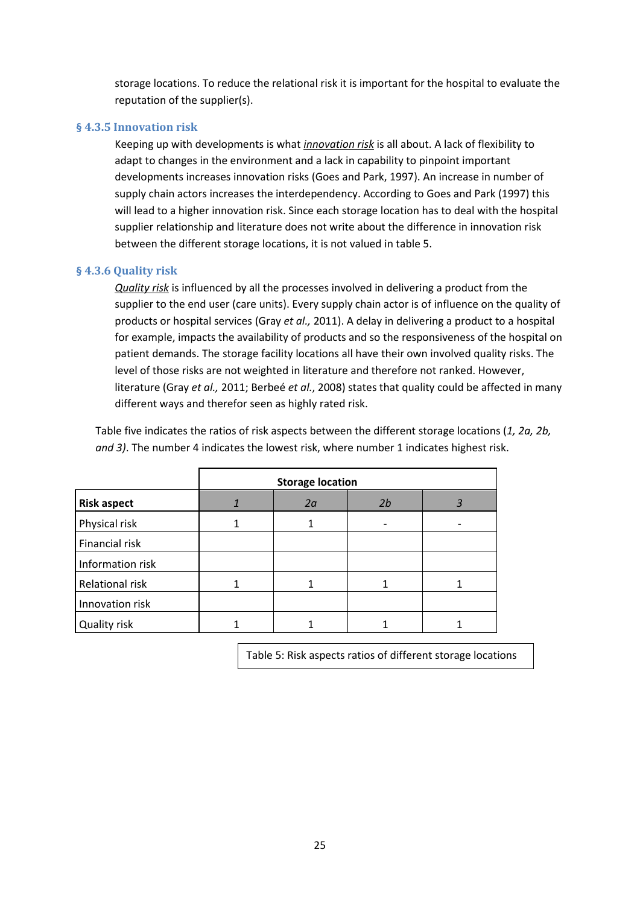storage locations. To reduce the relational risk it is important for the hospital to evaluate the reputation of the supplier(s).

#### <span id="page-24-0"></span>**§ 4.3.5 Innovation risk**

Keeping up with developments is what *innovation risk* is all about. A lack of flexibility to adapt to changes in the environment and a lack in capability to pinpoint important developments increases innovation risks (Goes and Park, 1997). An increase in number of supply chain actors increases the interdependency. According to Goes and Park (1997) this will lead to a higher innovation risk. Since each storage location has to deal with the hospital supplier relationship and literature does not write about the difference in innovation risk between the different storage locations, it is not valued in table 5.

#### <span id="page-24-1"></span>**§ 4.3.6 Quality risk**

*Quality risk* is influenced by all the processes involved in delivering a product from the supplier to the end user (care units). Every supply chain actor is of influence on the quality of products or hospital services (Gray *et al.,* 2011). A delay in delivering a product to a hospital for example, impacts the availability of products and so the responsiveness of the hospital on patient demands. The storage facility locations all have their own involved quality risks. The level of those risks are not weighted in literature and therefore not ranked. However, literature (Gray *et al.,* 2011; Berbeé *et al.*, 2008) states that quality could be affected in many different ways and therefor seen as highly rated risk.

Table five indicates the ratios of risk aspects between the different storage locations (*1, 2a, 2b, and 3)*. The number 4 indicates the lowest risk, where number 1 indicates highest risk.

|                    | <b>Storage location</b> |    |    |  |
|--------------------|-------------------------|----|----|--|
| <b>Risk aspect</b> |                         | 2a | 2b |  |
| Physical risk      |                         |    |    |  |
| Financial risk     |                         |    |    |  |
| Information risk   |                         |    |    |  |
| Relational risk    |                         |    |    |  |
| Innovation risk    |                         |    |    |  |
| Quality risk       |                         |    |    |  |

Table 5: Risk aspects ratios of different storage locations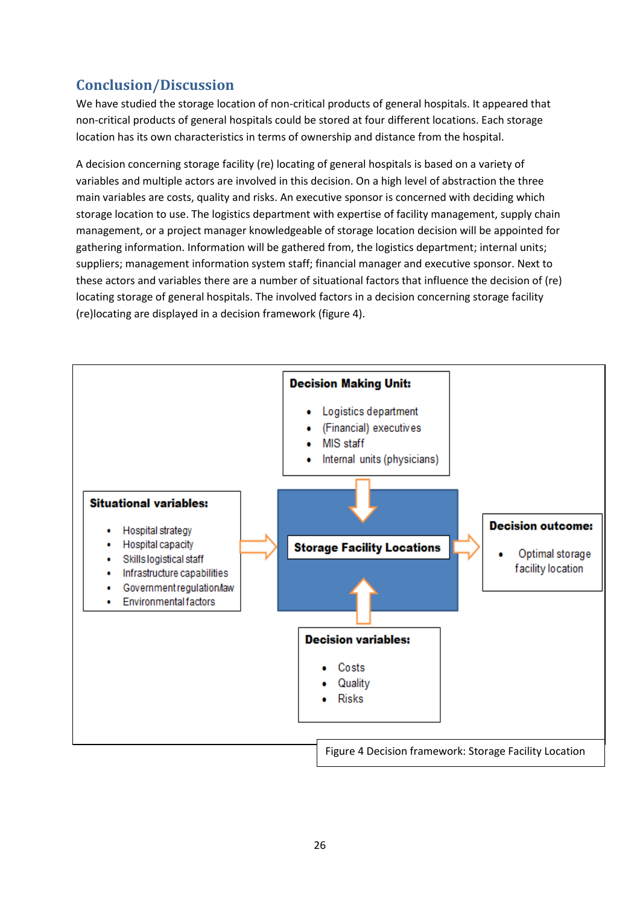# <span id="page-25-0"></span>**Conclusion/Discussion**

We have studied the storage location of non-critical products of general hospitals. It appeared that non-critical products of general hospitals could be stored at four different locations. Each storage location has its own characteristics in terms of ownership and distance from the hospital.

A decision concerning storage facility (re) locating of general hospitals is based on a variety of variables and multiple actors are involved in this decision. On a high level of abstraction the three main variables are costs, quality and risks. An executive sponsor is concerned with deciding which storage location to use. The logistics department with expertise of facility management, supply chain management, or a project manager knowledgeable of storage location decision will be appointed for gathering information. Information will be gathered from, the logistics department; internal units; suppliers; management information system staff; financial manager and executive sponsor. Next to these actors and variables there are a number of situational factors that influence the decision of (re) locating storage of general hospitals. The involved factors in a decision concerning storage facility (re)locating are displayed in a decision framework (figure 4).

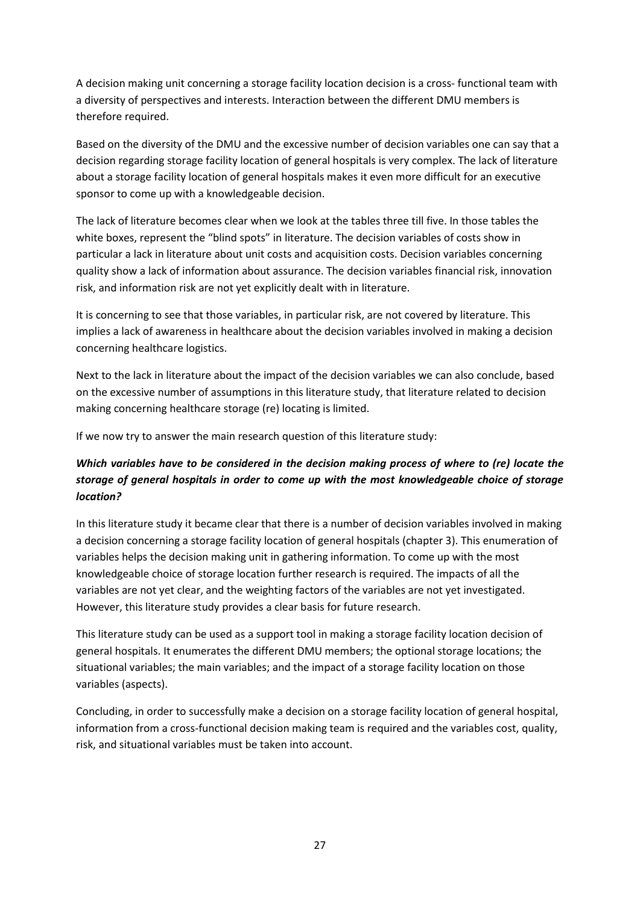A decision making unit concerning a storage facility location decision is a cross- functional team with a diversity of perspectives and interests. Interaction between the different DMU members is therefore required.

Based on the diversity of the DMU and the excessive number of decision variables one can say that a decision regarding storage facility location of general hospitals is very complex. The lack of literature about a storage facility location of general hospitals makes it even more difficult for an executive sponsor to come up with a knowledgeable decision.

The lack of literature becomes clear when we look at the tables three till five. In those tables the white boxes, represent the "blind spots" in literature. The decision variables of costs show in particular a lack in literature about unit costs and acquisition costs. Decision variables concerning quality show a lack of information about assurance. The decision variables financial risk, innovation risk, and information risk are not yet explicitly dealt with in literature.

It is concerning to see that those variables, in particular risk, are not covered by literature. This implies a lack of awareness in healthcare about the decision variables involved in making a decision concerning healthcare logistics.

Next to the lack in literature about the impact of the decision variables we can also conclude, based on the excessive number of assumptions in this literature study, that literature related to decision making concerning healthcare storage (re) locating is limited.

If we now try to answer the main research question of this literature study:

## *Which variables have to be considered in the decision making process of where to (re) locate the storage of general hospitals in order to come up with the most knowledgeable choice of storage location?*

In this literature study it became clear that there is a number of decision variables involved in making a decision concerning a storage facility location of general hospitals (chapter 3). This enumeration of variables helps the decision making unit in gathering information. To come up with the most knowledgeable choice of storage location further research is required. The impacts of all the variables are not yet clear, and the weighting factors of the variables are not yet investigated. However, this literature study provides a clear basis for future research.

This literature study can be used as a support tool in making a storage facility location decision of general hospitals. It enumerates the different DMU members; the optional storage locations; the situational variables; the main variables; and the impact of a storage facility location on those variables (aspects).

Concluding, in order to successfully make a decision on a storage facility location of general hospital, information from a cross-functional decision making team is required and the variables cost, quality, risk, and situational variables must be taken into account.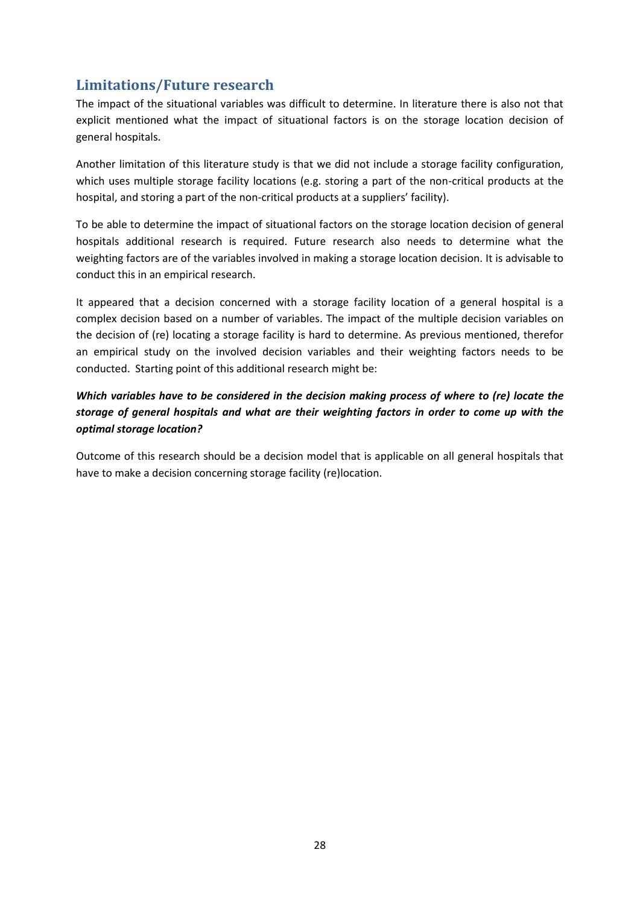# <span id="page-27-0"></span>**Limitations/Future research**

The impact of the situational variables was difficult to determine. In literature there is also not that explicit mentioned what the impact of situational factors is on the storage location decision of general hospitals.

Another limitation of this literature study is that we did not include a storage facility configuration, which uses multiple storage facility locations (e.g. storing a part of the non-critical products at the hospital, and storing a part of the non-critical products at a suppliers' facility).

To be able to determine the impact of situational factors on the storage location decision of general hospitals additional research is required. Future research also needs to determine what the weighting factors are of the variables involved in making a storage location decision. It is advisable to conduct this in an empirical research.

It appeared that a decision concerned with a storage facility location of a general hospital is a complex decision based on a number of variables. The impact of the multiple decision variables on the decision of (re) locating a storage facility is hard to determine. As previous mentioned, therefor an empirical study on the involved decision variables and their weighting factors needs to be conducted. Starting point of this additional research might be:

## *Which variables have to be considered in the decision making process of where to (re) locate the storage of general hospitals and what are their weighting factors in order to come up with the optimal storage location?*

Outcome of this research should be a decision model that is applicable on all general hospitals that have to make a decision concerning storage facility (re)location.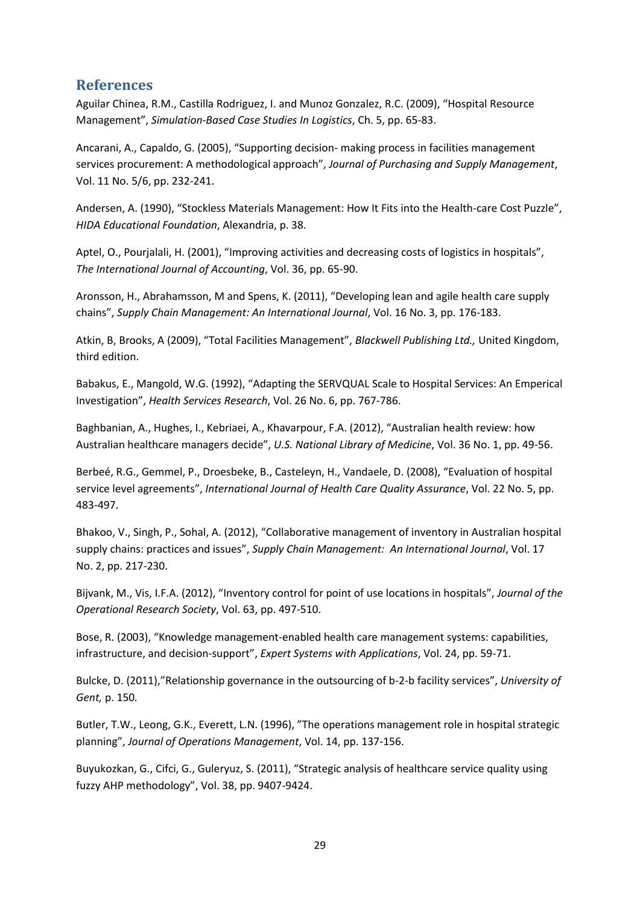## <span id="page-28-0"></span>**References**

Aguilar Chinea, R.M., Castilla Rodriguez, I. and Munoz Gonzalez, R.C. (2009), "Hospital Resource Management", *Simulation-Based Case Studies In Logistics*, Ch. 5, pp. 65-83.

Ancarani, A., Capaldo, G. (2005), "Supporting decision- making process in facilities management services procurement: A methodological approach", *Journal of Purchasing and Supply Management*, Vol. 11 No. 5/6, pp. 232-241.

Andersen, A. (1990), "Stockless Materials Management: How It Fits into the Health-care Cost Puzzle", *HIDA Educational Foundation*, Alexandria, p. 38.

Aptel, O., Pourjalali, H. (2001), "Improving activities and decreasing costs of logistics in hospitals", *The International Journal of Accounting*, Vol. 36, pp. 65-90.

Aronsson, H., Abrahamsson, M and Spens, K. (2011), "Developing lean and agile health care supply chains", *Supply Chain Management: An International Journal*, Vol. 16 No. 3, pp. 176-183.

Atkin, B, Brooks, A (2009), "Total Facilities Management", *Blackwell Publishing Ltd.,* United Kingdom, third edition.

Babakus, E., Mangold, W.G. (1992), "Adapting the SERVQUAL Scale to Hospital Services: An Emperical Investigation", *Health Services Research*, Vol. 26 No. 6, pp. 767-786.

Baghbanian, A., Hughes, I., Kebriaei, A., Khavarpour, F.A. (2012), "Australian health review: how Australian healthcare managers decide", *U.S. National Library of Medicine*, Vol. 36 No. 1, pp. 49-56.

Berbeé, R.G., Gemmel, P., Droesbeke, B., Casteleyn, H., Vandaele, D. (2008), "Evaluation of hospital service level agreements", *International Journal of Health Care Quality Assurance*, Vol. 22 No. 5, pp. 483-497.

Bhakoo, V., Singh, P., Sohal, A. (2012), "Collaborative management of inventory in Australian hospital supply chains: practices and issues", *Supply Chain Management: An International Journal*, Vol. 17 No. 2, pp. 217-230.

Bijvank, M., Vis, I.F.A. (2012), "Inventory control for point of use locations in hospitals", *Journal of the Operational Research Society*, Vol. 63, pp. 497-510.

Bose, R. (2003), "Knowledge management-enabled health care management systems: capabilities, infrastructure, and decision-support", *Expert Systems with Applications*, Vol. 24, pp. 59-71.

Bulcke, D. (2011),"Relationship governance in the outsourcing of b-2-b facility services", *University of Gent,* p. 150*.*

Butler, T.W., Leong, G.K., Everett, L.N. (1996), "The operations management role in hospital strategic planning", *Journal of Operations Management*, Vol. 14, pp. 137-156.

Buyukozkan, G., Cifci, G., Guleryuz, S. (2011), "Strategic analysis of healthcare service quality using fuzzy AHP methodology", Vol. 38, pp. 9407-9424.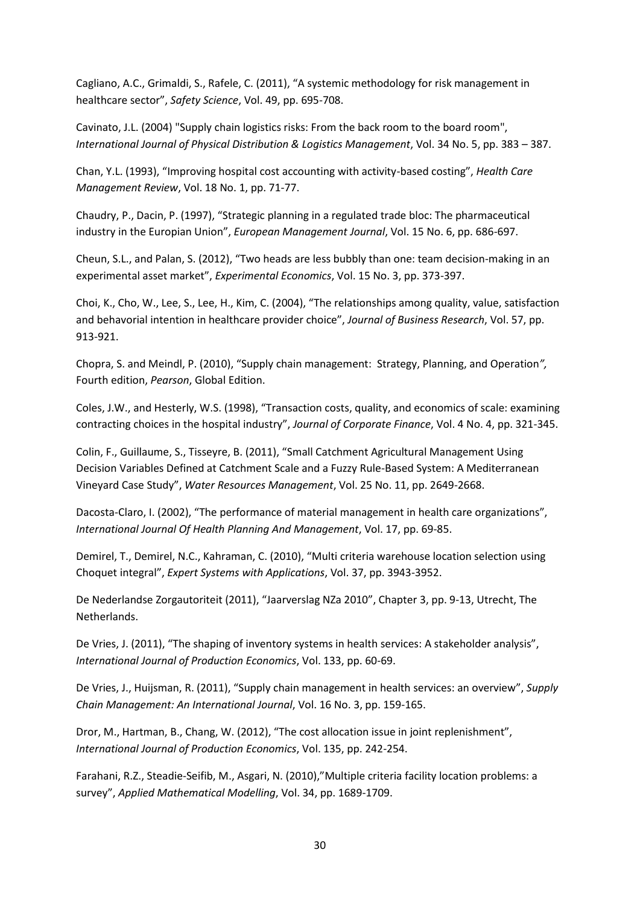Cagliano, A.C., Grimaldi, S., Rafele, C. (2011), "A systemic methodology for risk management in healthcare sector", *Safety Science*, Vol. 49, pp. 695-708.

Cavinato, J.L. (2004) "Supply chain logistics risks: From the back room to the board room", *International Journal of Physical Distribution & Logistics Management*, Vol. 34 No. 5, pp. 383 – 387.

Chan, Y.L. (1993), "Improving hospital cost accounting with activity-based costing", *Health Care Management Review*, Vol. 18 No. 1, pp. 71-77.

Chaudry, P., Dacin, P. (1997), "Strategic planning in a regulated trade bloc: The pharmaceutical industry in the Europian Union", *European Management Journal*, Vol. 15 No. 6, pp. 686-697.

Cheun, S.L., and Palan, S. (2012), "Two heads are less bubbly than one: team decision-making in an experimental asset market", *Experimental Economics*, Vol. 15 No. 3, pp. 373-397.

Choi, K., Cho, W., Lee, S., Lee, H., Kim, C. (2004), "The relationships among quality, value, satisfaction and behavorial intention in healthcare provider choice", *Journal of Business Research*, Vol. 57, pp. 913-921.

Chopra, S. and Meindl, P. (2010), "Supply chain management: Strategy, Planning, and Operation*",*  Fourth edition, *Pearson*, Global Edition.

Coles, J.W., and Hesterly, W.S. (1998), "Transaction costs, quality, and economics of scale: examining contracting choices in the hospital industry", *Journal of Corporate Finance*, Vol. 4 No. 4, pp. 321-345.

Colin, F., Guillaume, S., Tisseyre, B. (2011), "Small Catchment Agricultural Management Using Decision Variables Defined at Catchment Scale and a Fuzzy Rule-Based System: A Mediterranean Vineyard Case Study", *Water Resources Management*, Vol. 25 No. 11, pp. 2649-2668.

Dacosta-Claro, I. (2002), "The performance of material management in health care organizations", *International Journal Of Health Planning And Management*, Vol. 17, pp. 69-85.

Demirel, T., Demirel, N.C., Kahraman, C. (2010), "Multi criteria warehouse location selection using Choquet integral", *Expert Systems with Applications*, Vol. 37, pp. 3943-3952.

De Nederlandse Zorgautoriteit (2011), "Jaarverslag NZa 2010", Chapter 3, pp. 9-13, Utrecht, The Netherlands.

De Vries, J. (2011), "The shaping of inventory systems in health services: A stakeholder analysis", *International Journal of Production Economics*, Vol. 133, pp. 60-69.

De Vries, J., Huijsman, R. (2011), "Supply chain management in health services: an overview", *Supply Chain Management: An International Journal*, Vol. 16 No. 3, pp. 159-165.

Dror, M., Hartman, B., Chang, W. (2012), "The cost allocation issue in joint replenishment", *International Journal of Production Economics*, Vol. 135, pp. 242-254.

Farahani, R.Z., Steadie-Seifib, M., Asgari, N. (2010),"Multiple criteria facility location problems: a survey", *Applied Mathematical Modelling*, Vol. 34, pp. 1689-1709.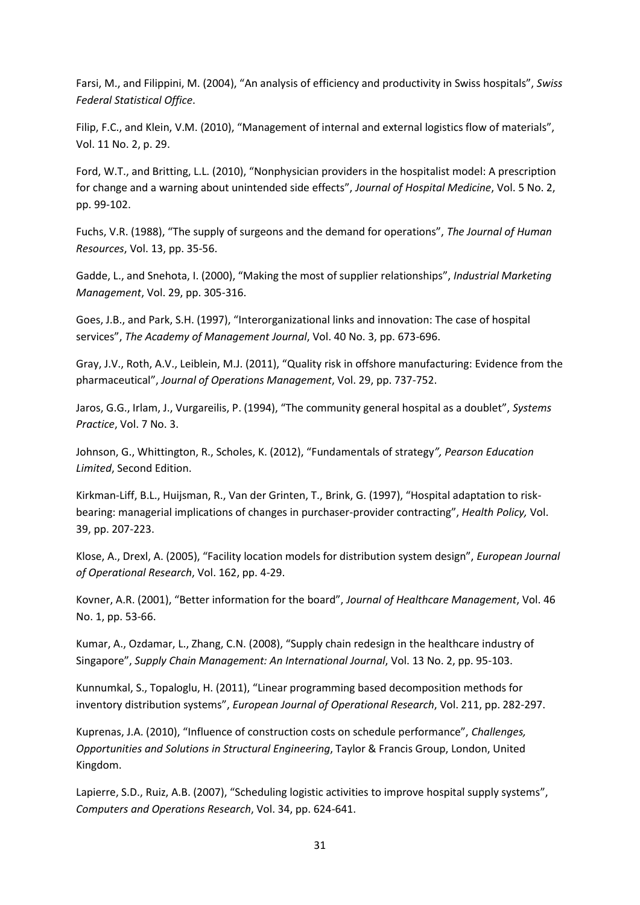Farsi, M., and Filippini, M. (2004), "An analysis of efficiency and productivity in Swiss hospitals", *Swiss Federal Statistical Office*.

Filip, F.C., and Klein, V.M. (2010), "Management of internal and external logistics flow of materials", Vol. 11 No. 2, p. 29.

Ford, W.T., and Britting, L.L. (2010), "Nonphysician providers in the hospitalist model: A prescription for change and a warning about unintended side effects", *Journal of Hospital Medicine*, Vol. 5 No. 2, pp. 99-102.

Fuchs, V.R. (1988), "The supply of surgeons and the demand for operations", *The Journal of Human Resources*, Vol. 13, pp. 35-56.

Gadde, L., and Snehota, I. (2000), "Making the most of supplier relationships", *Industrial Marketing Management*, Vol. 29, pp. 305-316.

Goes, J.B., and Park, S.H. (1997), "Interorganizational links and innovation: The case of hospital services", *The Academy of Management Journal*, Vol. 40 No. 3, pp. 673-696.

Gray, J.V., Roth, A.V., Leiblein, M.J. (2011), "Quality risk in offshore manufacturing: Evidence from the pharmaceutical", *Journal of Operations Management*, Vol. 29, pp. 737-752.

Jaros, G.G., Irlam, J., Vurgareilis, P. (1994), "The community general hospital as a doublet", *Systems Practice*, Vol. 7 No. 3.

Johnson, G., Whittington, R., Scholes, K. (2012), "Fundamentals of strategy*", Pearson Education Limited*, Second Edition.

Kirkman-Liff, B.L., Huijsman, R., Van der Grinten, T., Brink, G. (1997), "Hospital adaptation to riskbearing: managerial implications of changes in purchaser-provider contracting", *Health Policy,* Vol. 39, pp. 207-223.

Klose, A., Drexl, A. (2005), "Facility location models for distribution system design", *European Journal of Operational Research*, Vol. 162, pp. 4-29.

Kovner, A.R. (2001), "Better information for the board", *Journal of Healthcare Management*, Vol. 46 No. 1, pp. 53-66.

Kumar, A., Ozdamar, L., Zhang, C.N. (2008), "Supply chain redesign in the healthcare industry of Singapore", *Supply Chain Management: An International Journal*, Vol. 13 No. 2, pp. 95-103.

Kunnumkal, S., Topaloglu, H. (2011), "Linear programming based decomposition methods for inventory distribution systems", *European Journal of Operational Research*, Vol. 211, pp. 282-297.

Kuprenas, J.A. (2010), "Influence of construction costs on schedule performance", *Challenges, Opportunities and Solutions in Structural Engineering*, Taylor & Francis Group, London, United Kingdom.

Lapierre, S.D., Ruiz, A.B. (2007), "Scheduling logistic activities to improve hospital supply systems", *Computers and Operations Research*, Vol. 34, pp. 624-641.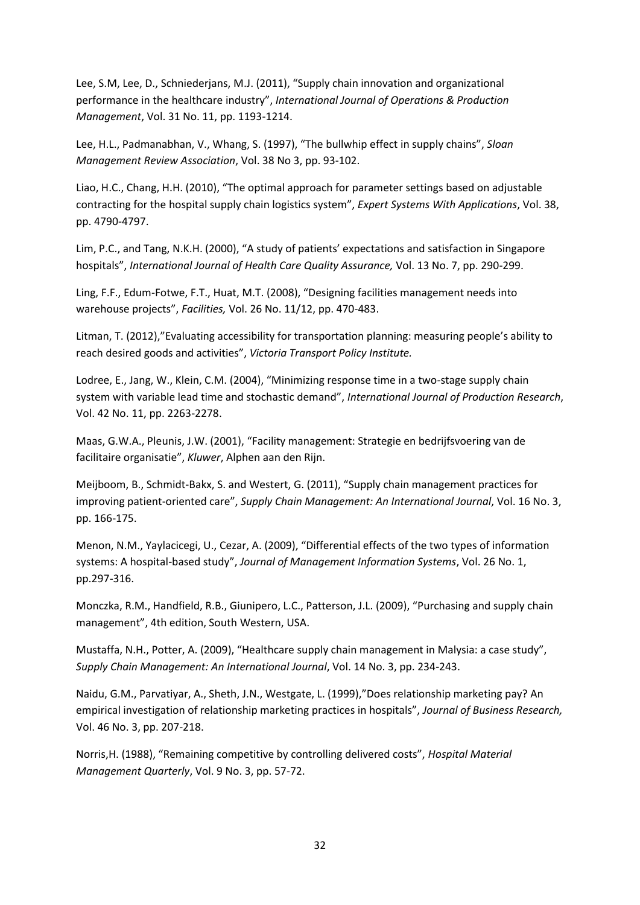Lee, S.M, Lee, D., Schniederjans, M.J. (2011), "Supply chain innovation and organizational performance in the healthcare industry", *International Journal of Operations & Production Management*, Vol. 31 No. 11, pp. 1193-1214.

Lee, H.L., Padmanabhan, V., Whang, S. (1997), "The bullwhip effect in supply chains", *Sloan Management Review Association*, Vol. 38 No 3, pp. 93-102.

Liao, H.C., Chang, H.H. (2010), "The optimal approach for parameter settings based on adjustable contracting for the hospital supply chain logistics system", *Expert Systems With Applications*, Vol. 38, pp. 4790-4797.

Lim, P.C., and Tang, N.K.H. (2000), "A study of patients' expectations and satisfaction in Singapore hospitals", *International Journal of Health Care Quality Assurance,* Vol. 13 No. 7, pp. 290-299.

Ling, F.F., Edum-Fotwe, F.T., Huat, M.T. (2008), "Designing facilities management needs into warehouse projects", *Facilities,* Vol. 26 No. 11/12, pp. 470-483.

Litman, T. (2012),"Evaluating accessibility for transportation planning: measuring people's ability to reach desired goods and activities", *Victoria Transport Policy Institute.*

Lodree, E., Jang, W., Klein, C.M. (2004), "Minimizing response time in a two-stage supply chain system with variable lead time and stochastic demand", *International Journal of Production Research*, Vol. 42 No. 11, pp. 2263-2278.

Maas, G.W.A., Pleunis, J.W. (2001), "Facility management: Strategie en bedrijfsvoering van de facilitaire organisatie", *Kluwer*, Alphen aan den Rijn.

Meijboom, B., Schmidt-Bakx, S. and Westert, G. (2011), "Supply chain management practices for improving patient-oriented care", *Supply Chain Management: An International Journal*, Vol. 16 No. 3, pp. 166-175.

Menon, N.M., Yaylacicegi, U., Cezar, A. (2009), "Differential effects of the two types of information systems: A hospital-based study", *Journal of Management Information Systems*, Vol. 26 No. 1, pp.297-316.

Monczka, R.M., Handfield, R.B., Giunipero, L.C., Patterson, J.L. (2009), "Purchasing and supply chain management", 4th edition, South Western, USA.

Mustaffa, N.H., Potter, A. (2009), "Healthcare supply chain management in Malysia: a case study", *Supply Chain Management: An International Journal*, Vol. 14 No. 3, pp. 234-243.

Naidu, G.M., Parvatiyar, A., Sheth, J.N., Westgate, L. (1999),"Does relationship marketing pay? An empirical investigation of relationship marketing practices in hospitals", *Journal of Business Research,* Vol. 46 No. 3, pp. 207-218.

Norris,H. (1988), "Remaining competitive by controlling delivered costs", *Hospital Material Management Quarterly*, Vol. 9 No. 3, pp. 57-72.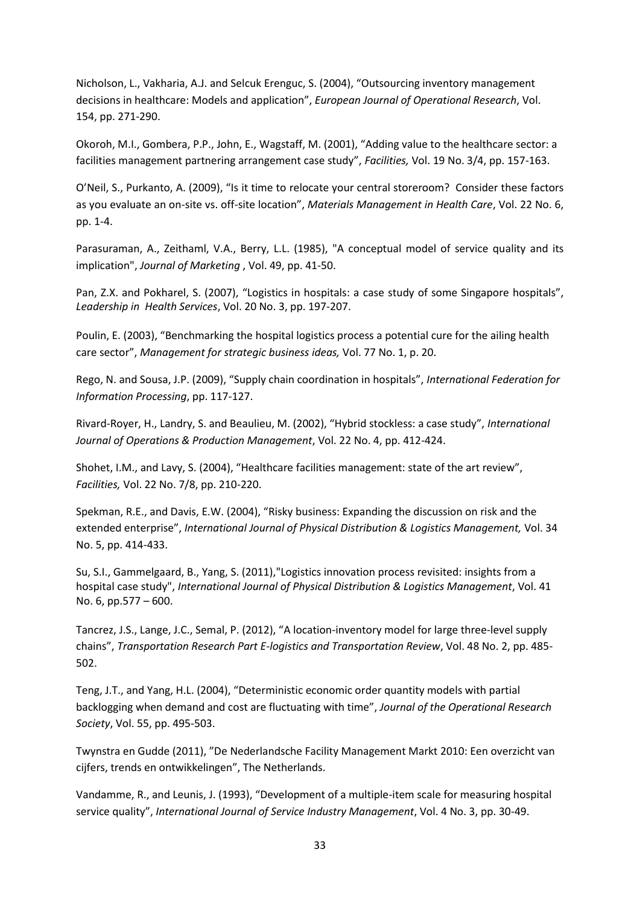Nicholson, L., Vakharia, A.J. and Selcuk Erenguc, S. (2004), "Outsourcing inventory management decisions in healthcare: Models and application", *European Journal of Operational Research*, Vol. 154, pp. 271-290.

Okoroh, M.I., Gombera, P.P., John, E., Wagstaff, M. (2001), "Adding value to the healthcare sector: a facilities management partnering arrangement case study", *Facilities,* Vol. 19 No. 3/4, pp. 157-163.

O'Neil, S., Purkanto, A. (2009), "Is it time to relocate your central storeroom? Consider these factors as you evaluate an on-site vs. off-site location", *Materials Management in Health Care*, Vol. 22 No. 6, pp. 1-4.

Parasuraman, A., Zeithaml, V.A., Berry, L.L. (1985), "A conceptual model of service quality and its implication", *Journal of Marketing* , Vol. 49, pp. 41-50.

Pan, Z.X. and Pokharel, S. (2007), "Logistics in hospitals: a case study of some Singapore hospitals", *Leadership in Health Services*, Vol. 20 No. 3, pp. 197-207.

Poulin, E. (2003), "Benchmarking the hospital logistics process a potential cure for the ailing health care sector", *Management for strategic business ideas,* Vol. 77 No. 1, p. 20.

Rego, N. and Sousa, J.P. (2009), "Supply chain coordination in hospitals", *International Federation for Information Processing*, pp. 117-127.

Rivard-Royer, H., Landry, S. and Beaulieu, M. (2002), "Hybrid stockless: a case study", *International Journal of Operations & Production Management*, Vol. 22 No. 4, pp. 412-424.

Shohet, I.M., and Lavy, S. (2004), "Healthcare facilities management: state of the art review", *Facilities,* Vol. 22 No. 7/8, pp. 210-220.

Spekman, R.E., and Davis, E.W. (2004), "Risky business: Expanding the discussion on risk and the extended enterprise", *International Journal of Physical Distribution & Logistics Management,* Vol. 34 No. 5, pp. 414-433.

Su, S.I., Gammelgaard, B., Yang, S. (2011),"Logistics innovation process revisited: insights from a hospital case study", *International Journal of Physical Distribution & Logistics Management*, Vol. 41 No. 6, pp.577 – 600.

Tancrez, J.S., Lange, J.C., Semal, P. (2012), "A location-inventory model for large three-level supply chains", *Transportation Research Part E-logistics and Transportation Review*, Vol. 48 No. 2, pp. 485- 502.

Teng, J.T., and Yang, H.L. (2004), "Deterministic economic order quantity models with partial backlogging when demand and cost are fluctuating with time", *Journal of the Operational Research Society*, Vol. 55, pp. 495-503.

Twynstra en Gudde (2011), "De Nederlandsche Facility Management Markt 2010: Een overzicht van cijfers, trends en ontwikkelingen", The Netherlands.

Vandamme, R., and Leunis, J. (1993), "Development of a multiple-item scale for measuring hospital service quality", *International Journal of Service Industry Management*, Vol. 4 No. 3, pp. 30-49.